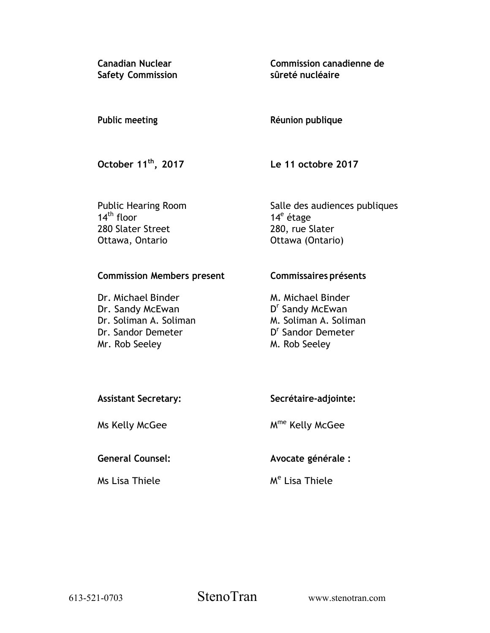**Canadian Nuclear Safety Commission**  **Commission canadienne de sûreté nucléaire** 

#### **Réunion publique Public meeting**

**October 11th, 2017** 

**Le 11 octobre 2017** 

Public Hearing Room  $14<sup>th</sup>$  floor 280 Slater Street Ottawa, Ontario

Salle des audiences publiques 14<sup>e</sup> étage 280, rue Slater Ottawa (Ontario)

## **Commission Members present**

Dr. Michael Binder Dr. Sandy McEwan Dr. Soliman A. Soliman Dr. Sandor Demeter Mr. Rob Seeley

## **Commissaires présents**

M. Michael Binder D<sup>r</sup> Sandy McEwan M. Soliman A. Soliman D<sup>r</sup> Sandor Demeter M. Rob Seeley

| <b>Assistant Secretary:</b> | Secrétaire-adjointe: |  |
|-----------------------------|----------------------|--|
|                             |                      |  |

Ms Kelly McGee

# **General Counsel:**

Ms Lisa Thiele

Mme Kelly McGee

**Avocate générale :** 

M<sup>e</sup> Lisa Thiele

613-521-0703 StenoTran www.stenotran.com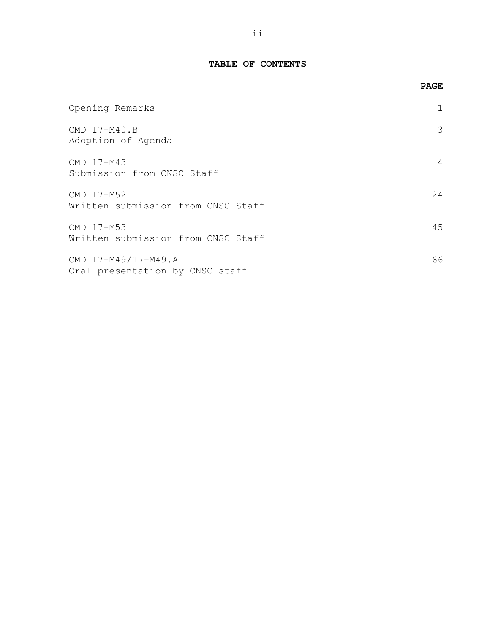## **TABLE OF CONTENTS**

|                                                        | <b>PAGE</b> |
|--------------------------------------------------------|-------------|
| Opening Remarks                                        |             |
| CMD 17-M40.B<br>Adoption of Agenda                     | 3           |
| CMD 17-M43<br>Submission from CNSC Staff               | 4           |
| CMD 17-M52<br>Written submission from CNSC Staff       | 24          |
| CMD 17-M53<br>Written submission from CNSC Staff       | 45          |
| CMD 17-M49/17-M49.A<br>Oral presentation by CNSC staff | 66          |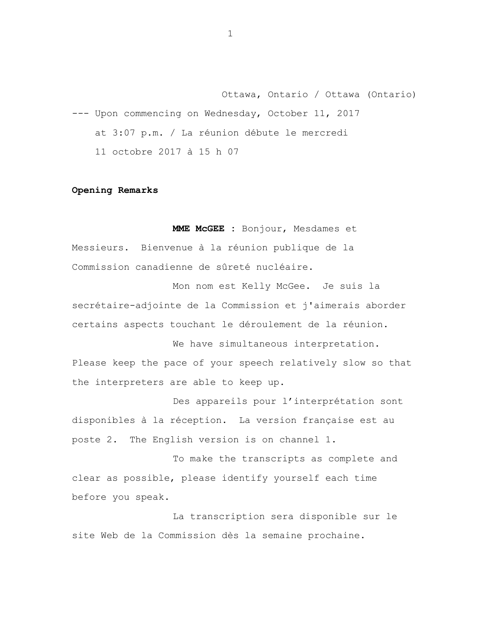<span id="page-2-0"></span>Ottawa, Ontario / Ottawa (Ontario) --- Upon commencing on Wednesday, October 11, 2017 at 3:07 p.m. / La réunion débute le mercredi 11 octobre 2017 à 15 h 07

## **Opening Remarks**

**MME McGEE :** Bonjour, Mesdames et Messieurs. Bienvenue à la réunion publique de la Commission canadienne de sûreté nucléaire.

Mon nom est Kelly McGee. Je suis la secrétaire-adjointe de la Commission et j'aimerais aborder certains aspects touchant le déroulement de la réunion.

We have simultaneous interpretation. Please keep the pace of your speech relatively slow so that the interpreters are able to keep up.

Des appareils pour l'interprétation sont disponibles à la réception. La version française est au poste 2. The English version is on channel 1.

To make the transcripts as complete and clear as possible, please identify yourself each time before you speak.

La transcription sera disponible sur le site Web de la Commission dès la semaine prochaine.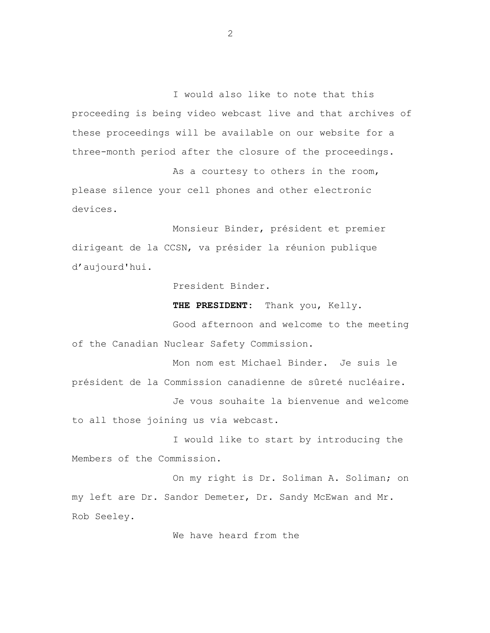I would also like to note that this proceeding is being video webcast live and that archives of these proceedings will be available on our website for a three-month period after the closure of the proceedings.

As a courtesy to others in the room, please silence your cell phones and other electronic devices.

Monsieur Binder, président et premier dirigeant de la CCSN, va présider la réunion publique d'aujourd'hui.

President Binder.

**THE PRESIDENT:** Thank you, Kelly.

Good afternoon and welcome to the meeting of the Canadian Nuclear Safety Commission.

Mon nom est Michael Binder. Je suis le président de la Commission canadienne de sûreté nucléaire. Je vous souhaite la bienvenue and welcome to all those joining us via webcast.

I would like to start by introducing the Members of the Commission.

On my right is Dr. Soliman A. Soliman; on my left are Dr. Sandor Demeter, Dr. Sandy McEwan and Mr. Rob Seeley.

We have heard from the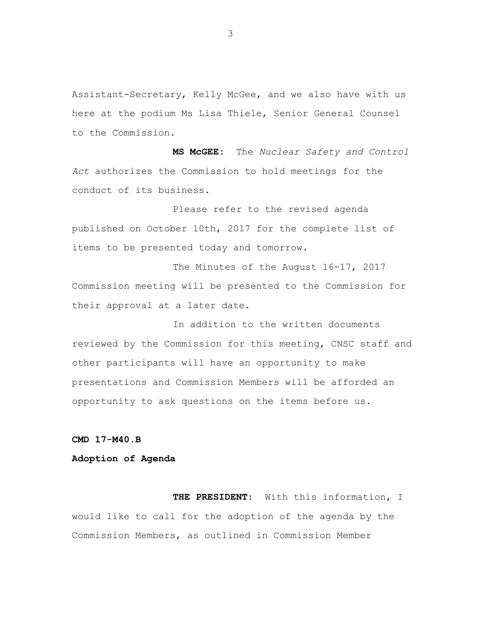<span id="page-4-0"></span>Assistant-Secretary, Kelly McGee, and we also have with us here at the podium Ms Lisa Thiele, Senior General Counsel to the Commission.

**MS McGEE:** The *Nuclear Safety and Control Act* authorizes the Commission to hold meetings for the conduct of its business.

Please refer to the revised agenda published on October 10th, 2017 for the complete list of items to be presented today and tomorrow.

The Minutes of the August 16-17, 2017 Commission meeting will be presented to the Commission for their approval at a later date.

In addition to the written documents reviewed by the Commission for this meeting, CNSC staff and other participants will have an opportunity to make presentations and Commission Members will be afforded an opportunity to ask questions on the items before us.

**CMD 17-M40.B** 

## **Adoption of Agenda**

**THE PRESIDENT:** With this information, I would like to call for the adoption of the agenda by the Commission Members, as outlined in Commission Member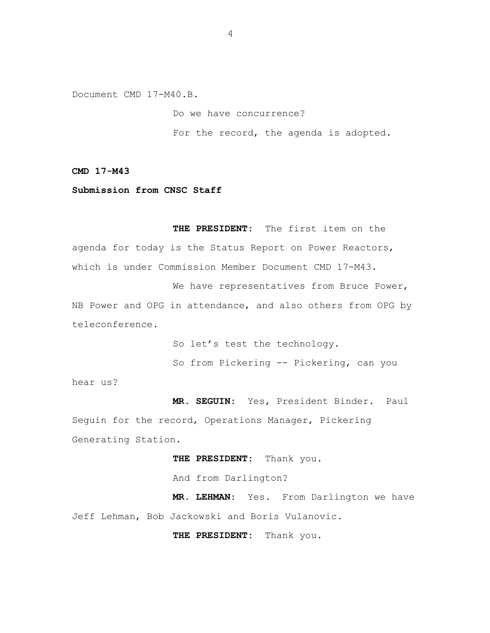<span id="page-5-0"></span>Document CMD 17-M40.B.

Do we have concurrence? For the record, the agenda is adopted.

**CMD 17-M43** 

**Submission from CNSC Staff** 

**THE PRESIDENT:** The first item on the agenda for today is the Status Report on Power Reactors, which is under Commission Member Document CMD 17-M43.

We have representatives from Bruce Power, NB Power and OPG in attendance, and also others from OPG by teleconference.

> So let's test the technology. So from Pickering -- Pickering, can you

hear us?

**MR. SEGUIN:** Yes, President Binder. Paul Seguin for the record, Operations Manager, Pickering Generating Station.

**THE PRESIDENT:** Thank you.

And from Darlington?

**MR. LEHMAN:** Yes. From Darlington we have Jeff Lehman, Bob Jackowski and Boris Vulanovic.

**THE PRESIDENT:** Thank you.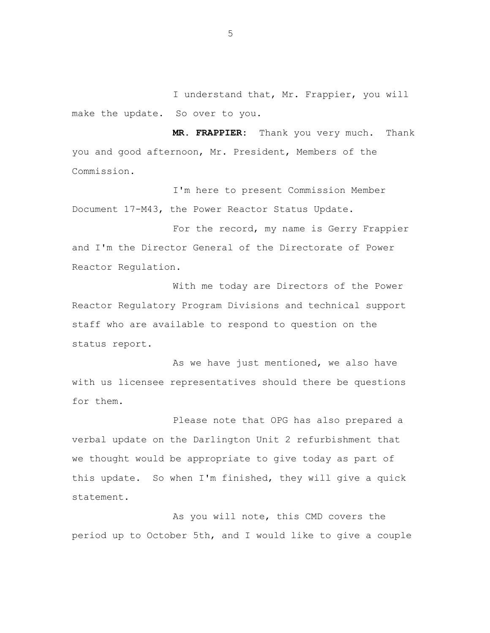I understand that, Mr. Frappier, you will make the update. So over to you.

**MR. FRAPPIER:** Thank you very much. Thank you and good afternoon, Mr. President, Members of the Commission.

I'm here to present Commission Member Document 17-M43, the Power Reactor Status Update.

For the record, my name is Gerry Frappier and I'm the Director General of the Directorate of Power Reactor Regulation.

With me today are Directors of the Power Reactor Regulatory Program Divisions and technical support staff who are available to respond to question on the status report.

As we have just mentioned, we also have with us licensee representatives should there be questions for them.

Please note that OPG has also prepared a verbal update on the Darlington Unit 2 refurbishment that we thought would be appropriate to give today as part of this update. So when I'm finished, they will give a quick statement.

As you will note, this CMD covers the period up to October 5th, and I would like to give a couple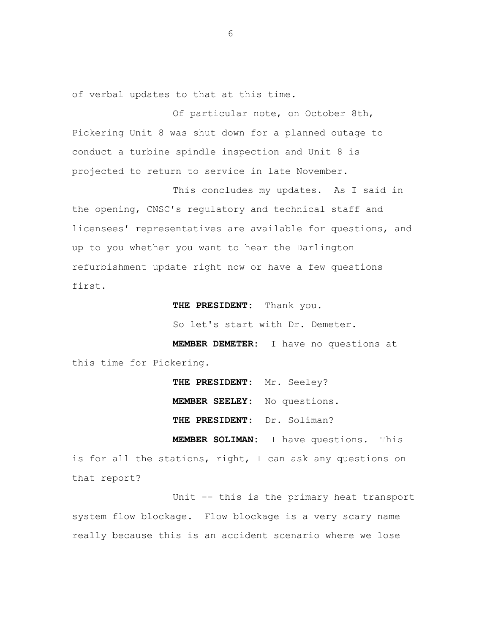of verbal updates to that at this time.

Of particular note, on October 8th, Pickering Unit 8 was shut down for a planned outage to conduct a turbine spindle inspection and Unit 8 is projected to return to service in late November.

This concludes my updates. As I said in the opening, CNSC's regulatory and technical staff and licensees' representatives are available for questions, and up to you whether you want to hear the Darlington refurbishment update right now or have a few questions first.

 **THE PRESIDENT:** Thank you.

So let's start with Dr. Demeter.

**MEMBER DEMETER:** I have no questions at this time for Pickering.

> **THE PRESIDENT:** Mr. Seeley? **MEMBER SEELEY:** No questions. **THE PRESIDENT:** Dr. Soliman?

 **MEMBER SOLIMAN:** I have questions. This is for all the stations, right, I can ask any questions on that report?

Unit -- this is the primary heat transport system flow blockage. Flow blockage is a very scary name really because this is an accident scenario where we lose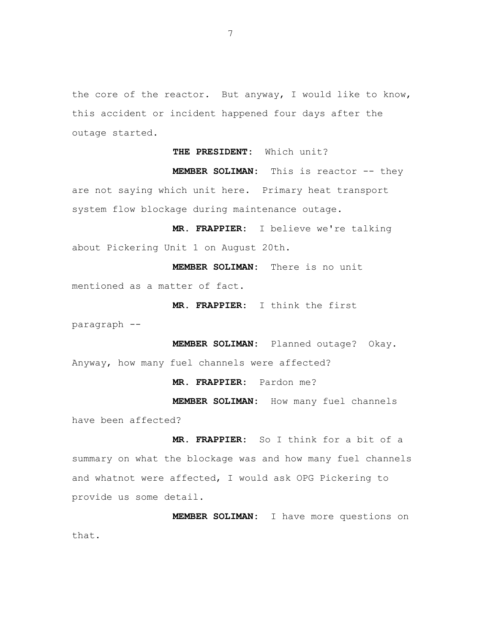the core of the reactor. But anyway, I would like to know, this accident or incident happened four days after the outage started.

**THE PRESIDENT:** Which unit?

**MEMBER SOLIMAN:** This is reactor -- they are not saying which unit here. Primary heat transport system flow blockage during maintenance outage.

 **MR. FRAPPIER:** I believe we're talking about Pickering Unit 1 on August 20th.

**MEMBER SOLIMAN:** There is no unit mentioned as a matter of fact.

 **MR. FRAPPIER:** I think the first

paragraph --

**MEMBER SOLIMAN:** Planned outage? Okay. Anyway, how many fuel channels were affected?

 **MR. FRAPPIER:** Pardon me?

**MEMBER SOLIMAN:** How many fuel channels have been affected?

 **MR. FRAPPIER:** So I think for a bit of a summary on what the blockage was and how many fuel channels and whatnot were affected, I would ask OPG Pickering to provide us some detail.

**MEMBER SOLIMAN:** I have more questions on that.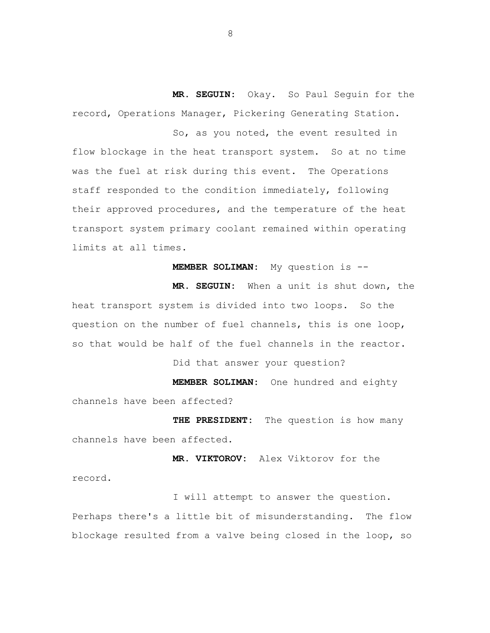**MR. SEGUIN:** Okay. So Paul Seguin for the record, Operations Manager, Pickering Generating Station.

So, as you noted, the event resulted in flow blockage in the heat transport system. So at no time was the fuel at risk during this event. The Operations staff responded to the condition immediately, following their approved procedures, and the temperature of the heat transport system primary coolant remained within operating limits at all times.

**MEMBER SOLIMAN:** My question is --

 **MR. SEGUIN:** When a unit is shut down, the heat transport system is divided into two loops. So the question on the number of fuel channels, this is one loop, so that would be half of the fuel channels in the reactor.

Did that answer your question?

**MEMBER SOLIMAN:** One hundred and eighty channels have been affected?

**THE PRESIDENT:** The question is how many channels have been affected.

 **MR. VIKTOROV:** Alex Viktorov for the record.

I will attempt to answer the question. Perhaps there's a little bit of misunderstanding. The flow blockage resulted from a valve being closed in the loop, so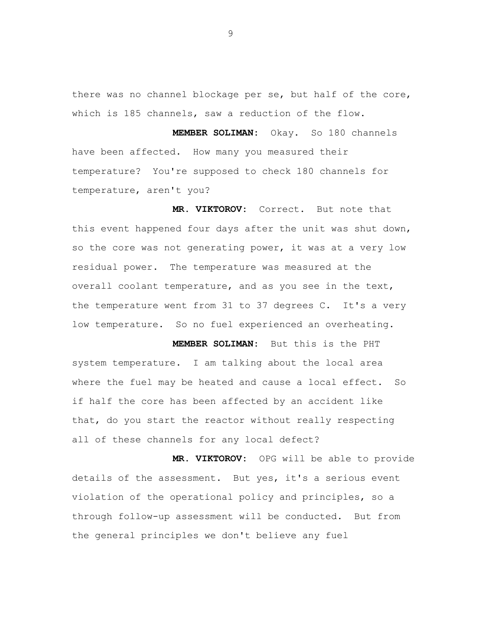there was no channel blockage per se, but half of the core, which is 185 channels, saw a reduction of the flow.

**MEMBER SOLIMAN:** Okay. So 180 channels have been affected. How many you measured their temperature? You're supposed to check 180 channels for temperature, aren't you?

**MR. VIKTOROV:** Correct. But note that this event happened four days after the unit was shut down, so the core was not generating power, it was at a very low residual power. The temperature was measured at the overall coolant temperature, and as you see in the text, the temperature went from 31 to 37 degrees C. It's a very low temperature. So no fuel experienced an overheating.

 **MEMBER SOLIMAN:** But this is the PHT system temperature. I am talking about the local area where the fuel may be heated and cause a local effect. So if half the core has been affected by an accident like that, do you start the reactor without really respecting all of these channels for any local defect?

**MR. VIKTOROV:** OPG will be able to provide details of the assessment. But yes, it's a serious event violation of the operational policy and principles, so a through follow-up assessment will be conducted. But from the general principles we don't believe any fuel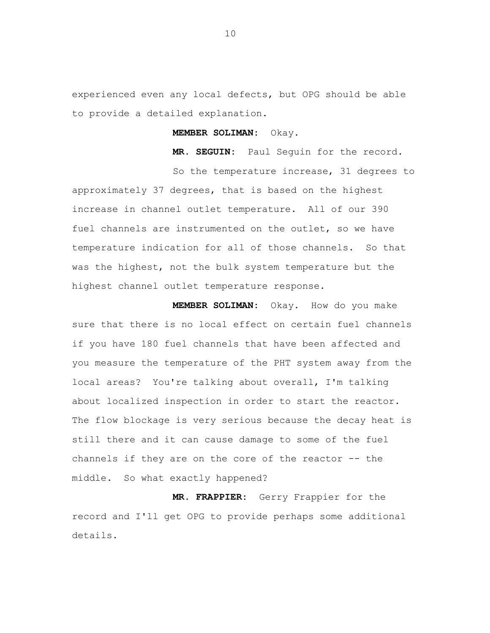experienced even any local defects, but OPG should be able to provide a detailed explanation.

#### **MEMBER SOLIMAN:** Okay.

**MR. SEGUIN:** Paul Seguin for the record.

So the temperature increase, 31 degrees to approximately 37 degrees, that is based on the highest increase in channel outlet temperature. All of our 390 fuel channels are instrumented on the outlet, so we have temperature indication for all of those channels. So that was the highest, not the bulk system temperature but the highest channel outlet temperature response.

**MEMBER SOLIMAN:** Okay. How do you make sure that there is no local effect on certain fuel channels if you have 180 fuel channels that have been affected and you measure the temperature of the PHT system away from the local areas? You're talking about overall, I'm talking about localized inspection in order to start the reactor. The flow blockage is very serious because the decay heat is still there and it can cause damage to some of the fuel channels if they are on the core of the reactor -- the middle. So what exactly happened?

**MR. FRAPPIER:** Gerry Frappier for the record and I'll get OPG to provide perhaps some additional details.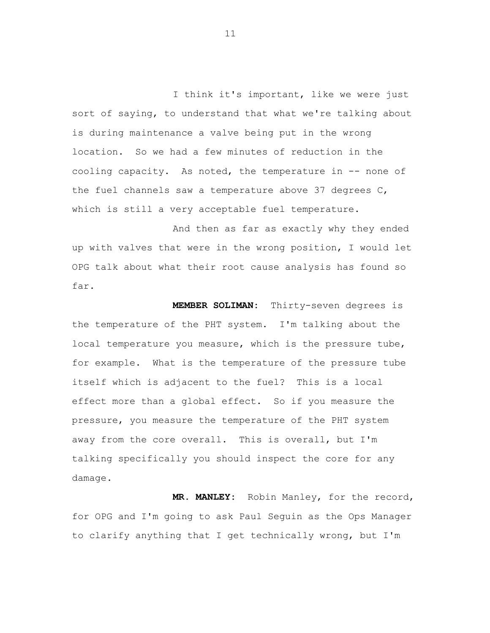I think it's important, like we were just sort of saying, to understand that what we're talking about is during maintenance a valve being put in the wrong location. So we had a few minutes of reduction in the cooling capacity. As noted, the temperature in -- none of the fuel channels saw a temperature above 37 degrees C, which is still a very acceptable fuel temperature.

And then as far as exactly why they ended up with valves that were in the wrong position, I would let OPG talk about what their root cause analysis has found so far.

**MEMBER SOLIMAN:** Thirty-seven degrees is the temperature of the PHT system. I'm talking about the local temperature you measure, which is the pressure tube, for example. What is the temperature of the pressure tube itself which is adjacent to the fuel? This is a local effect more than a global effect. So if you measure the pressure, you measure the temperature of the PHT system away from the core overall. This is overall, but I'm talking specifically you should inspect the core for any damage.

**MR. MANLEY:** Robin Manley, for the record, for OPG and I'm going to ask Paul Seguin as the Ops Manager to clarify anything that I get technically wrong, but I'm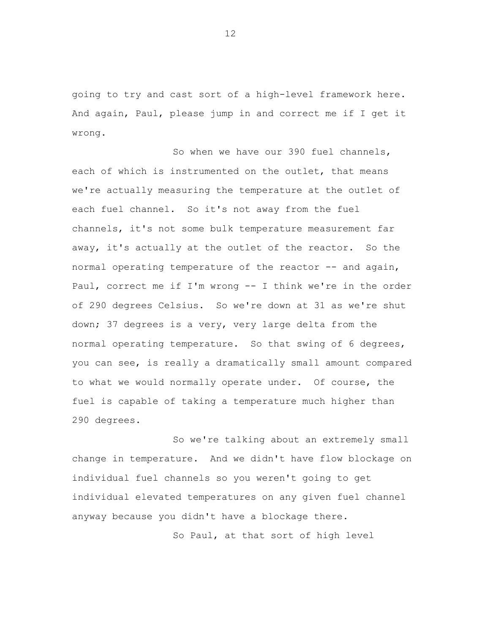going to try and cast sort of a high-level framework here. And again, Paul, please jump in and correct me if I get it wrong.

So when we have our 390 fuel channels, each of which is instrumented on the outlet, that means we're actually measuring the temperature at the outlet of each fuel channel. So it's not away from the fuel channels, it's not some bulk temperature measurement far away, it's actually at the outlet of the reactor. So the normal operating temperature of the reactor -- and again, Paul, correct me if I'm wrong -- I think we're in the order of 290 degrees Celsius. So we're down at 31 as we're shut down; 37 degrees is a very, very large delta from the normal operating temperature. So that swing of 6 degrees, you can see, is really a dramatically small amount compared to what we would normally operate under. Of course, the fuel is capable of taking a temperature much higher than 290 degrees.

So we're talking about an extremely small change in temperature. And we didn't have flow blockage on individual fuel channels so you weren't going to get individual elevated temperatures on any given fuel channel anyway because you didn't have a blockage there.

So Paul, at that sort of high level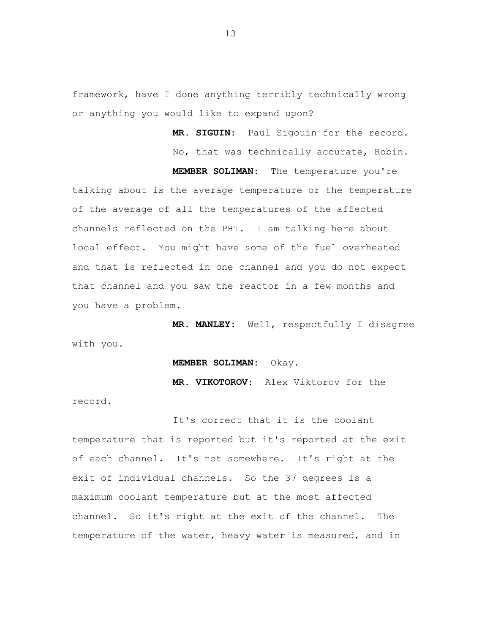framework, have I done anything terribly technically wrong or anything you would like to expand upon?

> **MR. SIGUIN:** Paul Sigouin for the record. No, that was technically accurate, Robin.

**MEMBER SOLIMAN:** The temperature you're

talking about is the average temperature or the temperature of the average of all the temperatures of the affected channels reflected on the PHT. I am talking here about local effect. You might have some of the fuel overheated and that is reflected in one channel and you do not expect that channel and you saw the reactor in a few months and you have a problem.

**MR. MANLEY:** Well, respectfully I disagree with you.

#### **MEMBER SOLIMAN:** Okay.

**MR. VIKOTOROV:** Alex Viktorov for the

record.

It's correct that it is the coolant temperature that is reported but it's reported at the exit of each channel. It's not somewhere. It's right at the exit of individual channels. So the 37 degrees is a maximum coolant temperature but at the most affected channel. So it's right at the exit of the channel. The temperature of the water, heavy water is measured, and in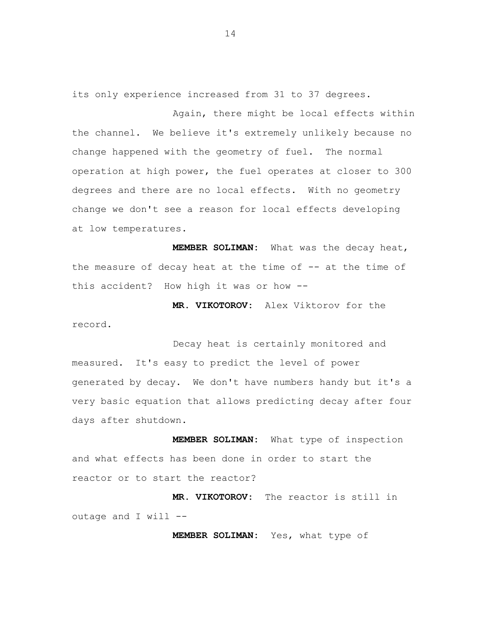its only experience increased from 31 to 37 degrees.

Again, there might be local effects within the channel. We believe it's extremely unlikely because no change happened with the geometry of fuel. The normal operation at high power, the fuel operates at closer to 300 degrees and there are no local effects. With no geometry change we don't see a reason for local effects developing at low temperatures.

 **MEMBER SOLIMAN:** What was the decay heat, the measure of decay heat at the time of -- at the time of this accident? How high it was or how --

**MR. VIKOTOROV:** Alex Viktorov for the record.

Decay heat is certainly monitored and measured. It's easy to predict the level of power generated by decay. We don't have numbers handy but it's a very basic equation that allows predicting decay after four days after shutdown.

**MEMBER SOLIMAN:** What type of inspection and what effects has been done in order to start the reactor or to start the reactor?

**MR. VIKOTOROV:** The reactor is still in outage and I will  $--$ 

**MEMBER SOLIMAN:** Yes, what type of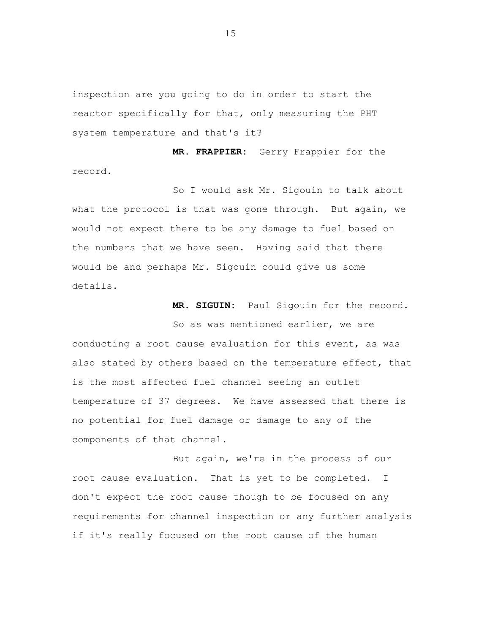inspection are you going to do in order to start the reactor specifically for that, only measuring the PHT system temperature and that's it?

**MR. FRAPPIER:** Gerry Frappier for the record.

So I would ask Mr. Sigouin to talk about what the protocol is that was gone through. But again, we would not expect there to be any damage to fuel based on the numbers that we have seen. Having said that there would be and perhaps Mr. Sigouin could give us some details.

**MR. SIGUIN:** Paul Sigouin for the record.

So as was mentioned earlier, we are conducting a root cause evaluation for this event, as was also stated by others based on the temperature effect, that is the most affected fuel channel seeing an outlet temperature of 37 degrees. We have assessed that there is no potential for fuel damage or damage to any of the components of that channel.

But again, we're in the process of our root cause evaluation. That is yet to be completed. I don't expect the root cause though to be focused on any requirements for channel inspection or any further analysis if it's really focused on the root cause of the human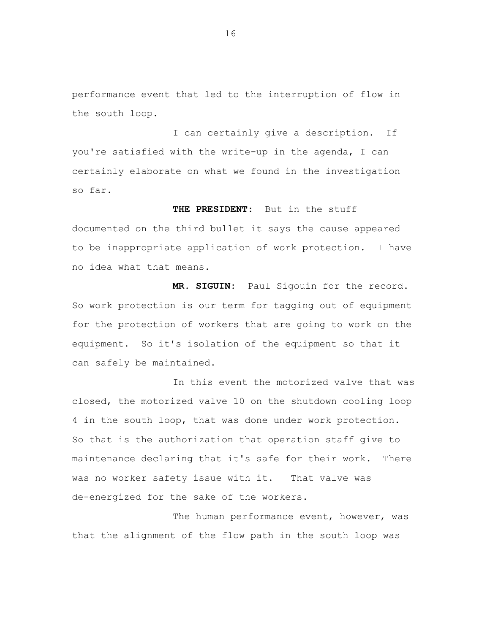performance event that led to the interruption of flow in the south loop.

I can certainly give a description. If you're satisfied with the write-up in the agenda, I can certainly elaborate on what we found in the investigation so far.

**THE PRESIDENT:** But in the stuff documented on the third bullet it says the cause appeared to be inappropriate application of work protection. I have no idea what that means.

**MR. SIGUIN:** Paul Sigouin for the record. So work protection is our term for tagging out of equipment for the protection of workers that are going to work on the equipment. So it's isolation of the equipment so that it can safely be maintained.

In this event the motorized valve that was closed, the motorized valve 10 on the shutdown cooling loop 4 in the south loop, that was done under work protection. So that is the authorization that operation staff give to maintenance declaring that it's safe for their work. There was no worker safety issue with it. That valve was de-energized for the sake of the workers.

The human performance event, however, was that the alignment of the flow path in the south loop was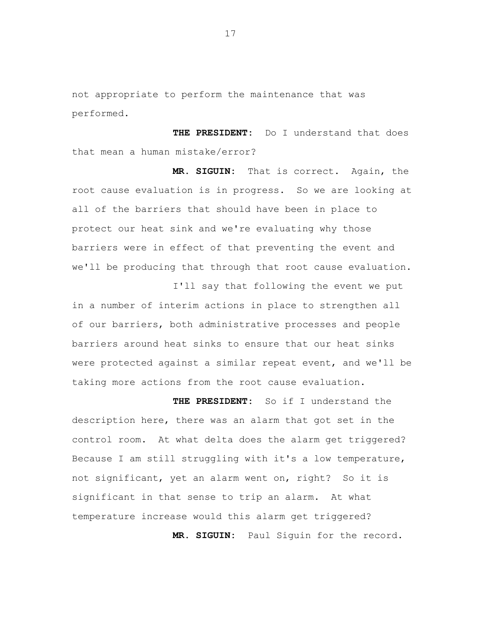not appropriate to perform the maintenance that was performed.

 that mean a human mistake/error? **THE PRESIDENT:** Do I understand that does

**MR. SIGUIN:** That is correct**.** Again, the root cause evaluation is in progress. So we are looking at all of the barriers that should have been in place to protect our heat sink and we're evaluating why those barriers were in effect of that preventing the event and we'll be producing that through that root cause evaluation.

in a number of interim actions in place to strengthen all of our barriers, both administrative processes and people barriers around heat sinks to ensure that our heat sinks were protected against a similar repeat event, and we'll be taking more actions from the root cause evaluation.

I'll say that following the event we put

**THE PRESIDENT:** So if I understand the description here, there was an alarm that got set in the control room. At what delta does the alarm get triggered? Because I am still struggling with it's a low temperature, not significant, yet an alarm went on, right? So it is significant in that sense to trip an alarm. At what temperature increase would this alarm get triggered? **MR. SIGUIN:** Paul Siguin for the record.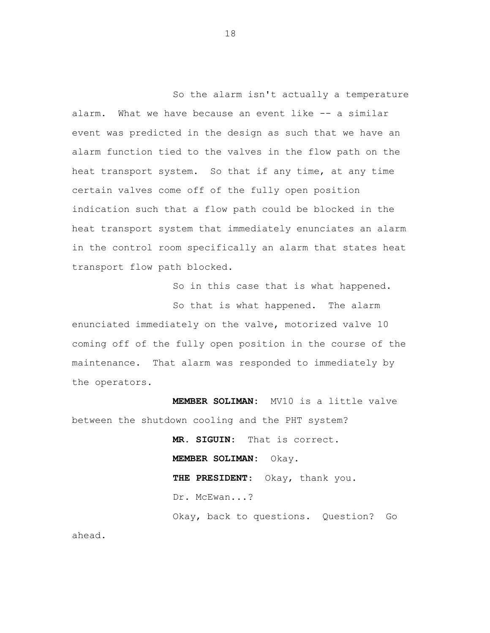So the alarm isn't actually a temperature alarm. What we have because an event like -- a similar event was predicted in the design as such that we have an alarm function tied to the valves in the flow path on the heat transport system. So that if any time, at any time certain valves come off of the fully open position indication such that a flow path could be blocked in the heat transport system that immediately enunciates an alarm in the control room specifically an alarm that states heat transport flow path blocked.

So in this case that is what happened.

So that is what happened. The alarm enunciated immediately on the valve, motorized valve 10 coming off of the fully open position in the course of the maintenance. That alarm was responded to immediately by the operators.

**MEMBER SOLIMAN:** MV10 is a little valve between the shutdown cooling and the PHT system?

> **MR. SIGUIN:** That is correct. **MEMBER SOLIMAN:** Okay. **THE PRESIDENT**: Okay, thank you. Dr. McEwan...? Okay, back to questions. Question? Go

ahead.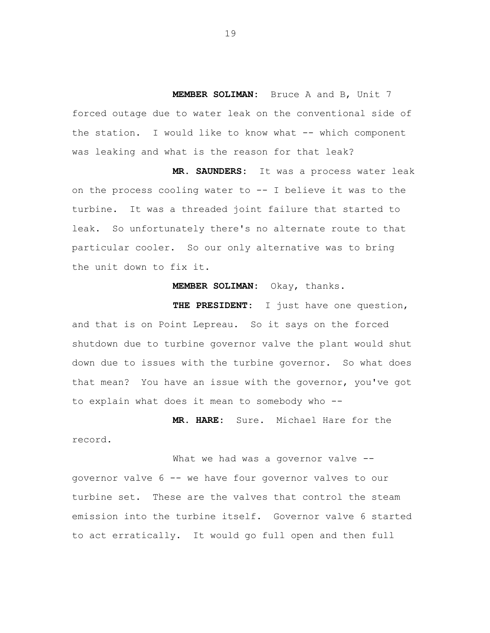**MEMBER SOLIMAN:** Bruce A and B, Unit 7 forced outage due to water leak on the conventional side of the station. I would like to know what -- which component was leaking and what is the reason for that leak?

**MR. SAUNDERS:** It was a process water leak on the process cooling water to -- I believe it was to the turbine. It was a threaded joint failure that started to leak. So unfortunately there's no alternate route to that particular cooler. So our only alternative was to bring the unit down to fix it.

**MEMBER SOLIMAN:** Okay, thanks.

**THE PRESIDENT:** I just have one question, and that is on Point Lepreau. So it says on the forced shutdown due to turbine governor valve the plant would shut down due to issues with the turbine governor. So what does that mean? You have an issue with the governor, you've got to explain what does it mean to somebody who --

**MR. HARE:** Sure. Michael Hare for the record.

What we had was a governor valve -governor valve 6 -- we have four governor valves to our turbine set. These are the valves that control the steam emission into the turbine itself. Governor valve 6 started to act erratically. It would go full open and then full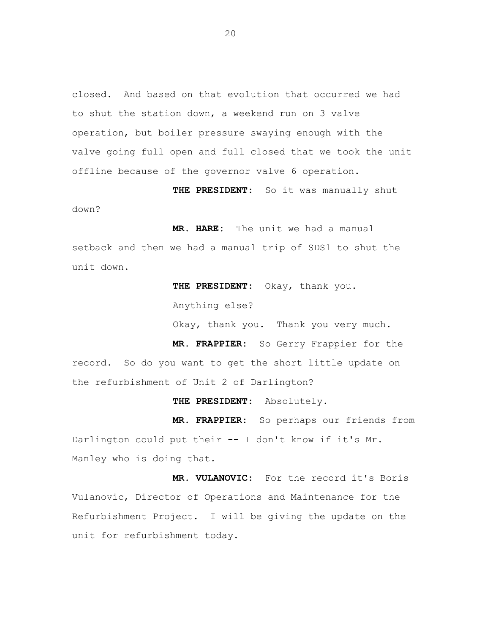closed. And based on that evolution that occurred we had to shut the station down, a weekend run on 3 valve operation, but boiler pressure swaying enough with the valve going full open and full closed that we took the unit offline because of the governor valve 6 operation.

**THE PRESIDENT:** So it was manually shut

down?

**MR. HARE:** The unit we had a manual

setback and then we had a manual trip of SDS1 to shut the unit down.

> **THE PRESIDENT:** Okay, thank you. Anything else? Okay, thank you. Thank you very much.

**MR. FRAPPIER:** So Gerry Frappier for the record. So do you want to get the short little update on the refurbishment of Unit 2 of Darlington?

**THE PRESIDENT:** Absolutely.

**MR. FRAPPIER:** So perhaps our friends from Darlington could put their -- I don't know if it's Mr. Manley who is doing that.

**MR. VULANOVIC:** For the record it's Boris Vulanovic, Director of Operations and Maintenance for the Refurbishment Project. I will be giving the update on the unit for refurbishment today.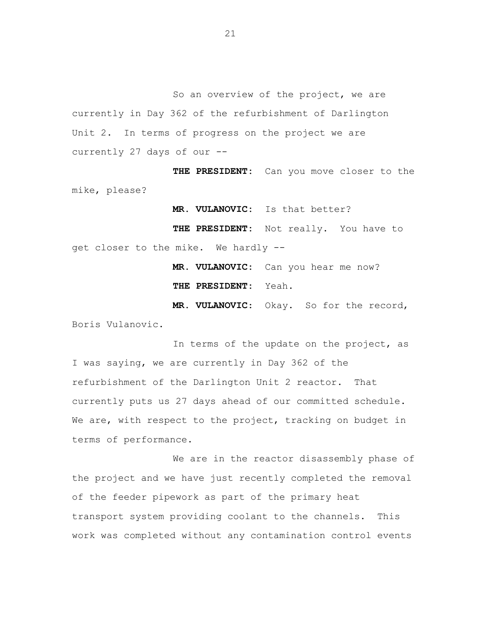So an overview of the project, we are currently in Day 362 of the refurbishment of Darlington Unit 2. In terms of progress on the project we are currently 27 days of our --

**THE PRESIDENT:** Can you move closer to the mike, please?

**MR. VULANOVIC:** Is that better?

**THE PRESIDENT:** Not really. You have to get closer to the mike. We hardly --

> **MR. VULANOVIC:** Can you hear me now? **THE PRESIDENT:** Yeah.

**MR. VULANOVIC**: Okay. So for the record, Boris Vulanovic.

In terms of the update on the project, as I was saying, we are currently in Day 362 of the refurbishment of the Darlington Unit 2 reactor. That currently puts us 27 days ahead of our committed schedule. We are, with respect to the project, tracking on budget in terms of performance.

We are in the reactor disassembly phase of the project and we have just recently completed the removal of the feeder pipework as part of the primary heat transport system providing coolant to the channels. This work was completed without any contamination control events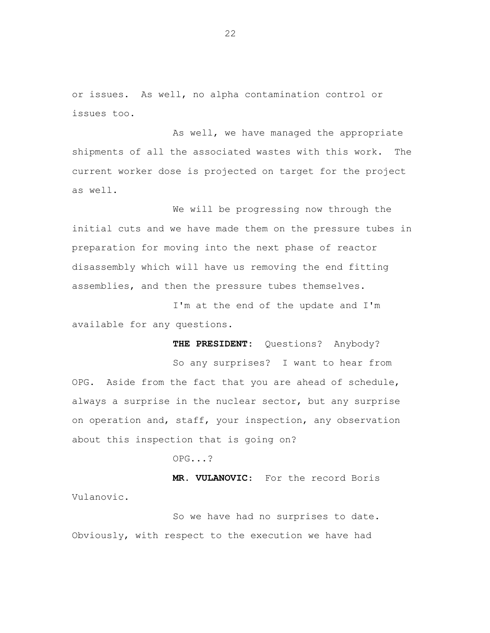or issues. As well, no alpha contamination control or issues too.

As well, we have managed the appropriate shipments of all the associated wastes with this work. The current worker dose is projected on target for the project as well.

We will be progressing now through the initial cuts and we have made them on the pressure tubes in preparation for moving into the next phase of reactor disassembly which will have us removing the end fitting assemblies, and then the pressure tubes themselves.

I'm at the end of the update and I'm available for any questions.

**THE PRESIDENT:** Questions? Anybody?

So any surprises? I want to hear from OPG. Aside from the fact that you are ahead of schedule, always a surprise in the nuclear sector, but any surprise on operation and, staff, your inspection, any observation about this inspection that is going on?

OPG...?

**MR. VULANOVIC**: For the record Boris Vulanovic.

So we have had no surprises to date. Obviously, with respect to the execution we have had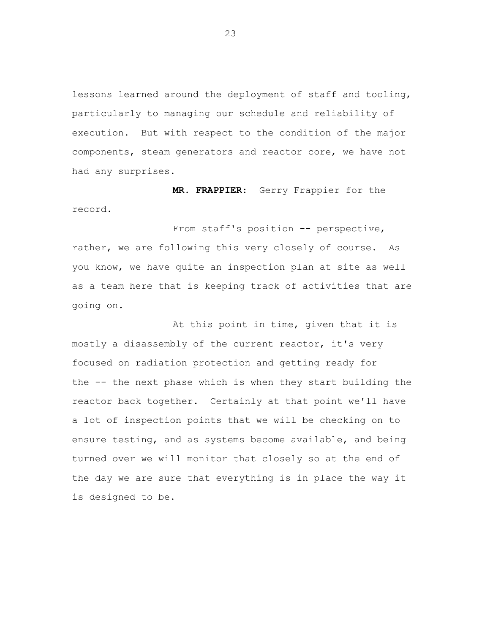lessons learned around the deployment of staff and tooling, particularly to managing our schedule and reliability of execution. But with respect to the condition of the major components, steam generators and reactor core, we have not had any surprises.

**MR. FRAPPIER**: Gerry Frappier for the record.

From staff's position -- perspective, rather, we are following this very closely of course. As you know, we have quite an inspection plan at site as well as a team here that is keeping track of activities that are going on.

At this point in time, given that it is mostly a disassembly of the current reactor, it's very focused on radiation protection and getting ready for the -- the next phase which is when they start building the reactor back together. Certainly at that point we'll have a lot of inspection points that we will be checking on to ensure testing, and as systems become available, and being turned over we will monitor that closely so at the end of the day we are sure that everything is in place the way it is designed to be.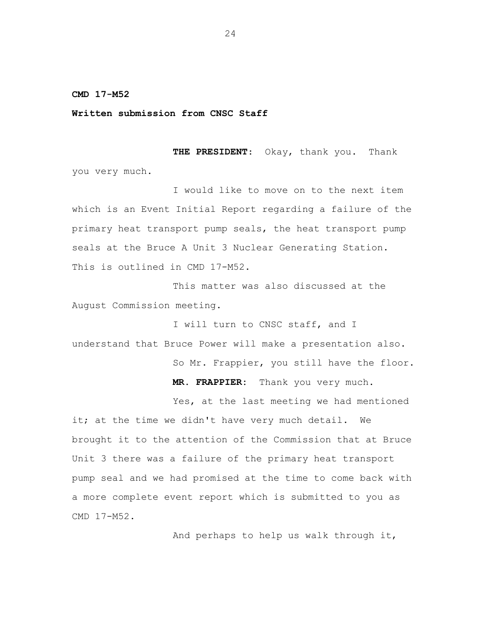<span id="page-25-0"></span>**CMD 17-M52** 

**Written submission from CNSC Staff** 

**THE PRESIDENT**: Okay, thank you. Thank you very much.

I would like to move on to the next item which is an Event Initial Report regarding a failure of the primary heat transport pump seals, the heat transport pump seals at the Bruce A Unit 3 Nuclear Generating Station. This is outlined in CMD 17-M52.

This matter was also discussed at the August Commission meeting.

I will turn to CNSC staff, and I understand that Bruce Power will make a presentation also.

So Mr. Frappier, you still have the floor.

**MR. FRAPPIER:** Thank you very much.

Yes, at the last meeting we had mentioned it; at the time we didn't have very much detail. We brought it to the attention of the Commission that at Bruce Unit 3 there was a failure of the primary heat transport pump seal and we had promised at the time to come back with a more complete event report which is submitted to you as CMD 17-M52.

And perhaps to help us walk through it,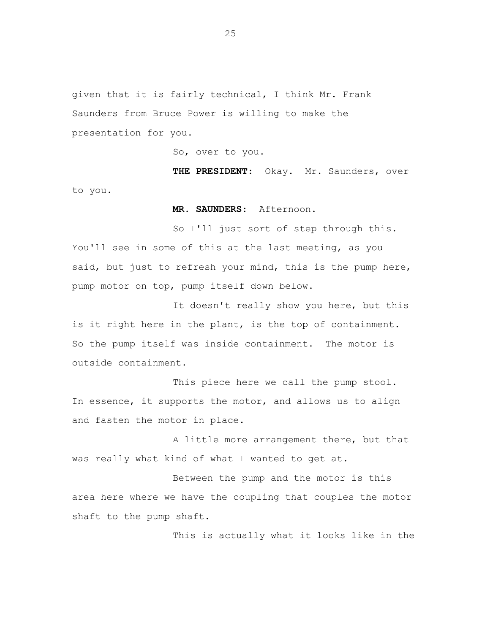given that it is fairly technical, I think Mr. Frank Saunders from Bruce Power is willing to make the presentation for you.

So, over to you.

**THE PRESIDENT**: Okay. Mr. Saunders, over to you.

**MR. SAUNDERS**: Afternoon.

So I'll just sort of step through this. You'll see in some of this at the last meeting, as you said, but just to refresh your mind, this is the pump here, pump motor on top, pump itself down below.

It doesn't really show you here, but this is it right here in the plant, is the top of containment. So the pump itself was inside containment. The motor is outside containment.

This piece here we call the pump stool. In essence, it supports the motor, and allows us to align and fasten the motor in place.

A little more arrangement there, but that was really what kind of what I wanted to get at.

Between the pump and the motor is this area here where we have the coupling that couples the motor shaft to the pump shaft.

This is actually what it looks like in the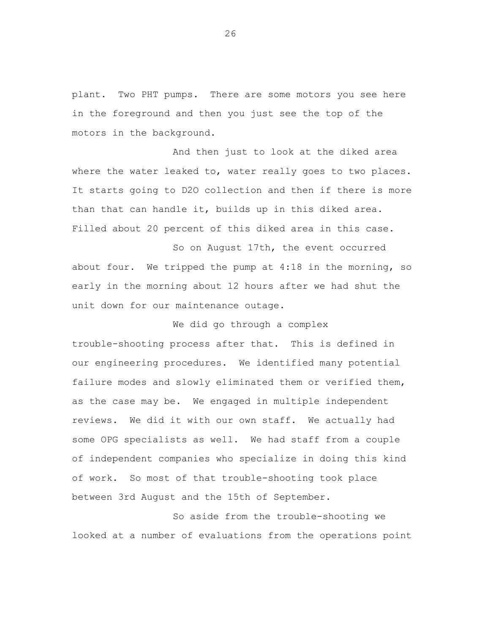plant. Two PHT pumps. There are some motors you see here in the foreground and then you just see the top of the motors in the background.

And then just to look at the diked area where the water leaked to, water really goes to two places. It starts going to D2O collection and then if there is more than that can handle it, builds up in this diked area. Filled about 20 percent of this diked area in this case.

So on August 17th, the event occurred about four. We tripped the pump at 4:18 in the morning, so early in the morning about 12 hours after we had shut the unit down for our maintenance outage.

We did go through a complex

trouble-shooting process after that. This is defined in our engineering procedures. We identified many potential failure modes and slowly eliminated them or verified them, as the case may be. We engaged in multiple independent reviews. We did it with our own staff. We actually had some OPG specialists as well. We had staff from a couple of independent companies who specialize in doing this kind of work. So most of that trouble-shooting took place between 3rd August and the 15th of September.

So aside from the trouble-shooting we looked at a number of evaluations from the operations point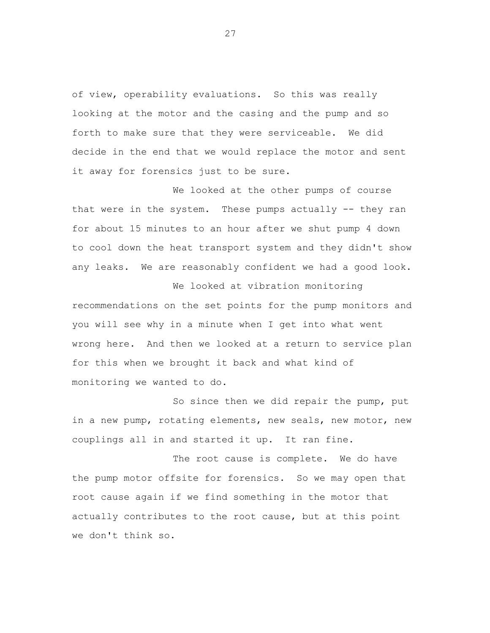of view, operability evaluations. So this was really looking at the motor and the casing and the pump and so forth to make sure that they were serviceable. We did decide in the end that we would replace the motor and sent it away for forensics just to be sure.

We looked at the other pumps of course that were in the system. These pumps actually -- they ran for about 15 minutes to an hour after we shut pump 4 down to cool down the heat transport system and they didn't show any leaks. We are reasonably confident we had a good look.

We looked at vibration monitoring recommendations on the set points for the pump monitors and you will see why in a minute when I get into what went wrong here. And then we looked at a return to service plan for this when we brought it back and what kind of monitoring we wanted to do.

So since then we did repair the pump, put in a new pump, rotating elements, new seals, new motor, new couplings all in and started it up. It ran fine.

The root cause is complete. We do have the pump motor offsite for forensics. So we may open that root cause again if we find something in the motor that actually contributes to the root cause, but at this point we don't think so.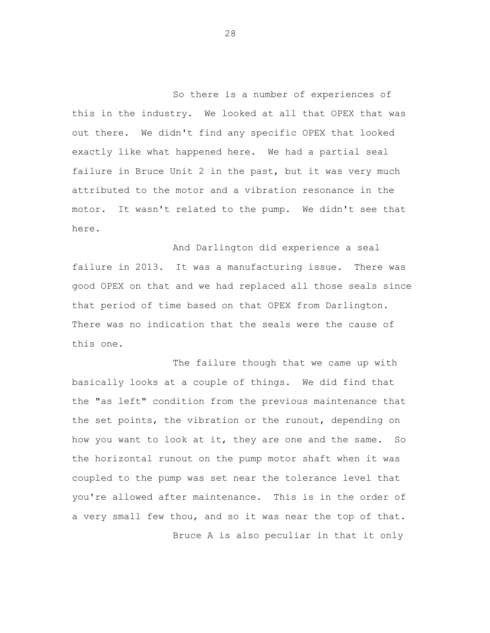So there is a number of experiences of this in the industry. We looked at all that OPEX that was out there. We didn't find any specific OPEX that looked exactly like what happened here. We had a partial seal failure in Bruce Unit 2 in the past, but it was very much attributed to the motor and a vibration resonance in the motor. It wasn't related to the pump. We didn't see that here.

And Darlington did experience a seal failure in 2013. It was a manufacturing issue. There was good OPEX on that and we had replaced all those seals since that period of time based on that OPEX from Darlington. There was no indication that the seals were the cause of this one.

The failure though that we came up with basically looks at a couple of things. We did find that the "as left" condition from the previous maintenance that the set points, the vibration or the runout, depending on how you want to look at it, they are one and the same. So the horizontal runout on the pump motor shaft when it was coupled to the pump was set near the tolerance level that you're allowed after maintenance. This is in the order of a very small few thou, and so it was near the top of that. Bruce A is also peculiar in that it only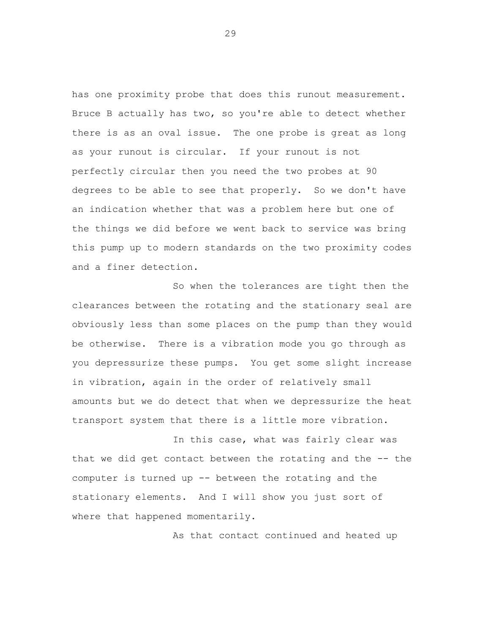has one proximity probe that does this runout measurement. Bruce B actually has two, so you're able to detect whether there is as an oval issue. The one probe is great as long as your runout is circular. If your runout is not perfectly circular then you need the two probes at 90 degrees to be able to see that properly. So we don't have an indication whether that was a problem here but one of the things we did before we went back to service was bring this pump up to modern standards on the two proximity codes and a finer detection.

So when the tolerances are tight then the clearances between the rotating and the stationary seal are obviously less than some places on the pump than they would be otherwise. There is a vibration mode you go through as you depressurize these pumps. You get some slight increase in vibration, again in the order of relatively small amounts but we do detect that when we depressurize the heat transport system that there is a little more vibration.

In this case, what was fairly clear was that we did get contact between the rotating and the -- the computer is turned up -- between the rotating and the stationary elements. And I will show you just sort of where that happened momentarily.

As that contact continued and heated up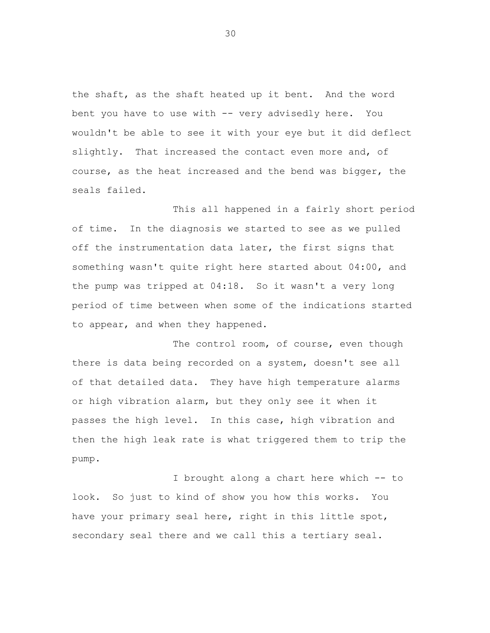the shaft, as the shaft heated up it bent. And the word bent you have to use with -- very advisedly here. You wouldn't be able to see it with your eye but it did deflect slightly. That increased the contact even more and, of course, as the heat increased and the bend was bigger, the seals failed.

This all happened in a fairly short period of time. In the diagnosis we started to see as we pulled off the instrumentation data later, the first signs that something wasn't quite right here started about 04:00, and the pump was tripped at 04:18. So it wasn't a very long period of time between when some of the indications started to appear, and when they happened.

The control room, of course, even though there is data being recorded on a system, doesn't see all of that detailed data. They have high temperature alarms or high vibration alarm, but they only see it when it passes the high level. In this case, high vibration and then the high leak rate is what triggered them to trip the pump.

I brought along a chart here which -- to look. So just to kind of show you how this works. You have your primary seal here, right in this little spot, secondary seal there and we call this a tertiary seal.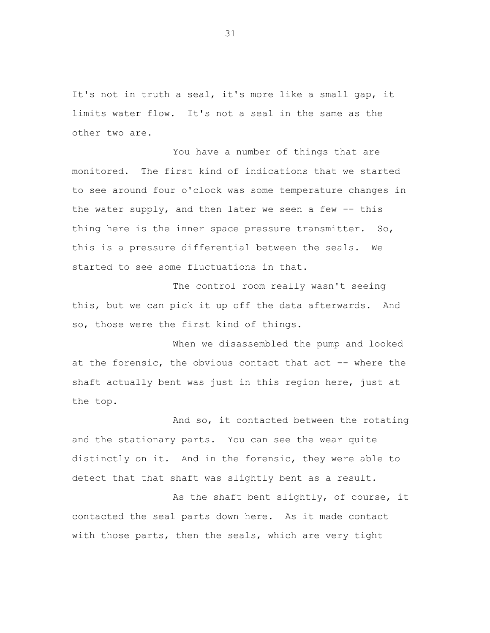It's not in truth a seal, it's more like a small gap, it limits water flow. It's not a seal in the same as the other two are.

You have a number of things that are monitored. The first kind of indications that we started to see around four o'clock was some temperature changes in the water supply, and then later we seen a few -- this thing here is the inner space pressure transmitter. So, this is a pressure differential between the seals. We started to see some fluctuations in that.

The control room really wasn't seeing this, but we can pick it up off the data afterwards. And so, those were the first kind of things.

When we disassembled the pump and looked at the forensic, the obvious contact that act -- where the shaft actually bent was just in this region here, just at the top.

And so, it contacted between the rotating and the stationary parts. You can see the wear quite distinctly on it. And in the forensic, they were able to detect that that shaft was slightly bent as a result.

As the shaft bent slightly, of course, it contacted the seal parts down here. As it made contact with those parts, then the seals, which are very tight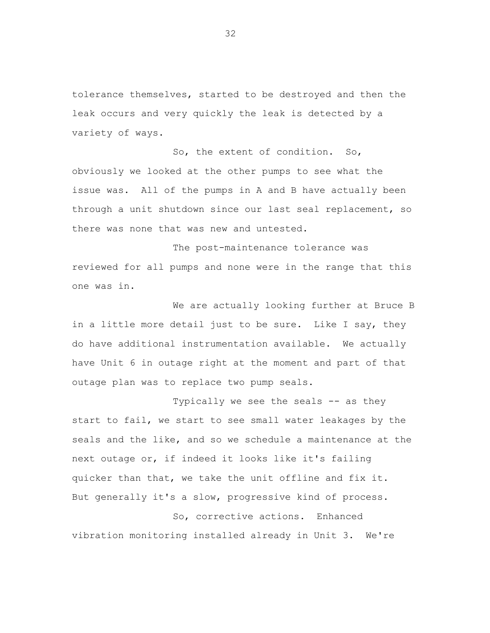tolerance themselves, started to be destroyed and then the leak occurs and very quickly the leak is detected by a variety of ways.

So, the extent of condition. So, obviously we looked at the other pumps to see what the issue was. All of the pumps in A and B have actually been through a unit shutdown since our last seal replacement, so there was none that was new and untested.

The post-maintenance tolerance was reviewed for all pumps and none were in the range that this one was in.

We are actually looking further at Bruce B in a little more detail just to be sure. Like I say, they do have additional instrumentation available. We actually have Unit 6 in outage right at the moment and part of that outage plan was to replace two pump seals.

Typically we see the seals -- as they start to fail, we start to see small water leakages by the seals and the like, and so we schedule a maintenance at the next outage or, if indeed it looks like it's failing quicker than that, we take the unit offline and fix it. But generally it's a slow, progressive kind of process. So, corrective actions. Enhanced

vibration monitoring installed already in Unit 3. We're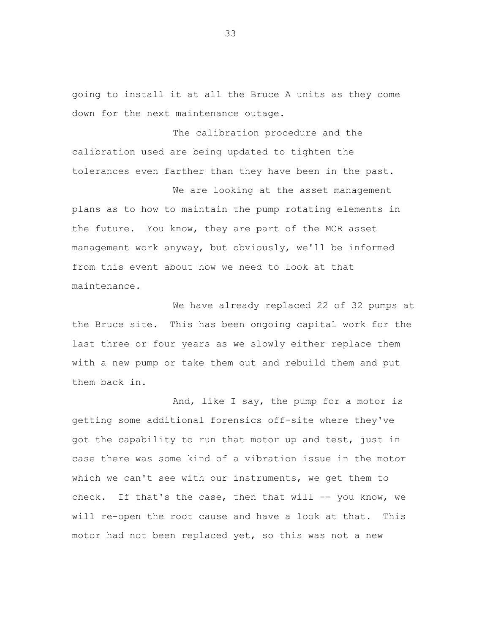going to install it at all the Bruce A units as they come down for the next maintenance outage.

The calibration procedure and the calibration used are being updated to tighten the tolerances even farther than they have been in the past.

We are looking at the asset management plans as to how to maintain the pump rotating elements in the future. You know, they are part of the MCR asset management work anyway, but obviously, we'll be informed from this event about how we need to look at that maintenance.

We have already replaced 22 of 32 pumps at the Bruce site. This has been ongoing capital work for the last three or four years as we slowly either replace them with a new pump or take them out and rebuild them and put them back in.

And, like I say, the pump for a motor is getting some additional forensics off-site where they've got the capability to run that motor up and test, just in case there was some kind of a vibration issue in the motor which we can't see with our instruments, we get them to check. If that's the case, then that will  $-$ - you know, we will re-open the root cause and have a look at that. This motor had not been replaced yet, so this was not a new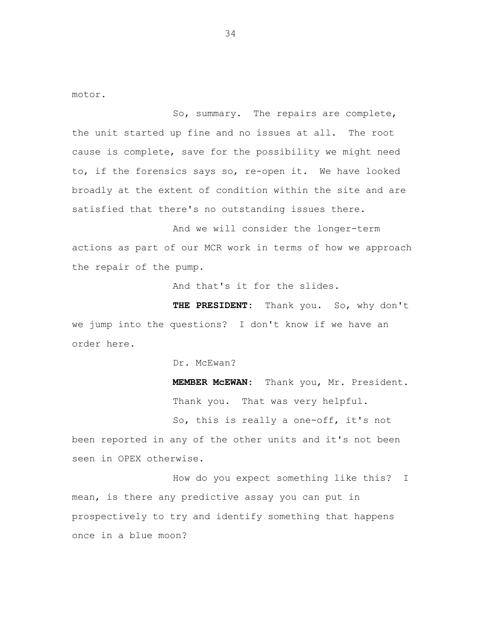motor.

So, summary. The repairs are complete, the unit started up fine and no issues at all. The root cause is complete, save for the possibility we might need to, if the forensics says so, re-open it. We have looked broadly at the extent of condition within the site and are satisfied that there's no outstanding issues there.

And we will consider the longer-term actions as part of our MCR work in terms of how we approach the repair of the pump.

And that's it for the slides.

**THE PRESIDENT:** Thank you. So, why don't we jump into the questions? I don't know if we have an order here.

Dr. McEwan?

**MEMBER McEWAN:** Thank you, Mr. President. Thank you. That was very helpful.

So, this is really a one-off, it's not been reported in any of the other units and it's not been seen in OPEX otherwise.

How do you expect something like this? I mean, is there any predictive assay you can put in prospectively to try and identify something that happens once in a blue moon?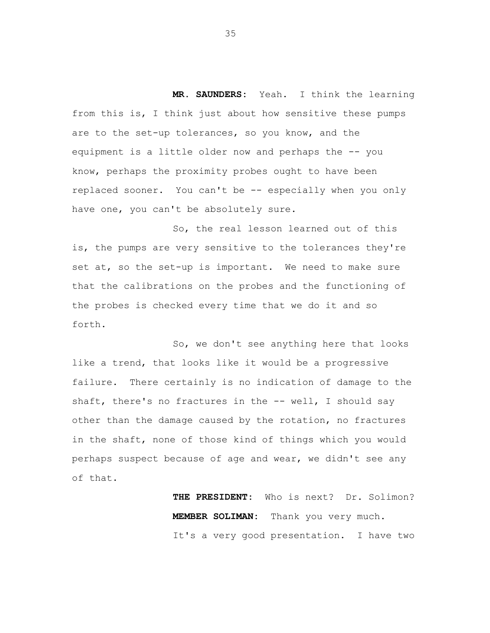**MR. SAUNDERS:** Yeah. I think the learning from this is, I think just about how sensitive these pumps are to the set-up tolerances, so you know, and the equipment is a little older now and perhaps the -- you know, perhaps the proximity probes ought to have been replaced sooner. You can't be -- especially when you only have one, you can't be absolutely sure.

So, the real lesson learned out of this is, the pumps are very sensitive to the tolerances they're set at, so the set-up is important. We need to make sure that the calibrations on the probes and the functioning of the probes is checked every time that we do it and so forth.

So, we don't see anything here that looks like a trend, that looks like it would be a progressive failure. There certainly is no indication of damage to the shaft, there's no fractures in the -- well, I should say other than the damage caused by the rotation, no fractures in the shaft, none of those kind of things which you would perhaps suspect because of age and wear, we didn't see any of that.

> **THE PRESIDENT:** Who is next? Dr. Solimon? **MEMBER SOLIMAN:** Thank you very much. It's a very good presentation. I have two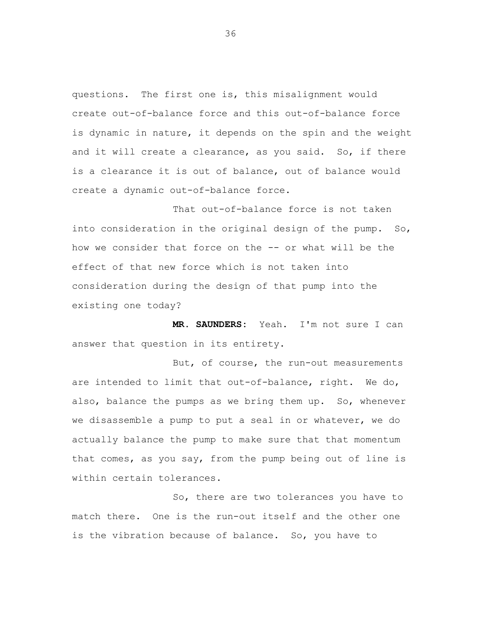questions. The first one is, this misalignment would create out-of-balance force and this out-of-balance force is dynamic in nature, it depends on the spin and the weight and it will create a clearance, as you said. So, if there is a clearance it is out of balance, out of balance would create a dynamic out-of-balance force.

That out-of-balance force is not taken into consideration in the original design of the pump. So, how we consider that force on the -- or what will be the effect of that new force which is not taken into consideration during the design of that pump into the existing one today?

**MR. SAUNDERS:** Yeah. I'm not sure I can answer that question in its entirety.

But, of course, the run-out measurements are intended to limit that out-of-balance, right. We do, also, balance the pumps as we bring them up. So, whenever we disassemble a pump to put a seal in or whatever, we do actually balance the pump to make sure that that momentum that comes, as you say, from the pump being out of line is within certain tolerances.

So, there are two tolerances you have to match there. One is the run-out itself and the other one is the vibration because of balance. So, you have to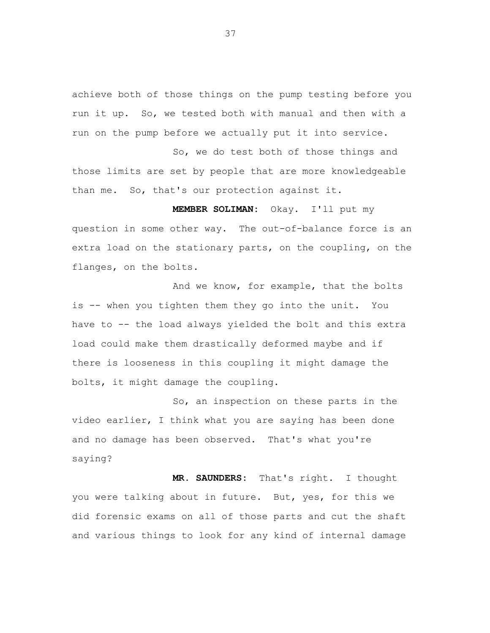achieve both of those things on the pump testing before you run it up. So, we tested both with manual and then with a run on the pump before we actually put it into service.

So, we do test both of those things and those limits are set by people that are more knowledgeable than me. So, that's our protection against it.

**MEMBER SOLIMAN:** Okay. I'll put my question in some other way. The out-of-balance force is an extra load on the stationary parts, on the coupling, on the flanges, on the bolts.

And we know, for example, that the bolts is -- when you tighten them they go into the unit. You have to -- the load always yielded the bolt and this extra load could make them drastically deformed maybe and if there is looseness in this coupling it might damage the bolts, it might damage the coupling.

So, an inspection on these parts in the video earlier, I think what you are saying has been done and no damage has been observed. That's what you're saying?

**MR. SAUNDERS:** That's right. I thought you were talking about in future. But, yes, for this we did forensic exams on all of those parts and cut the shaft and various things to look for any kind of internal damage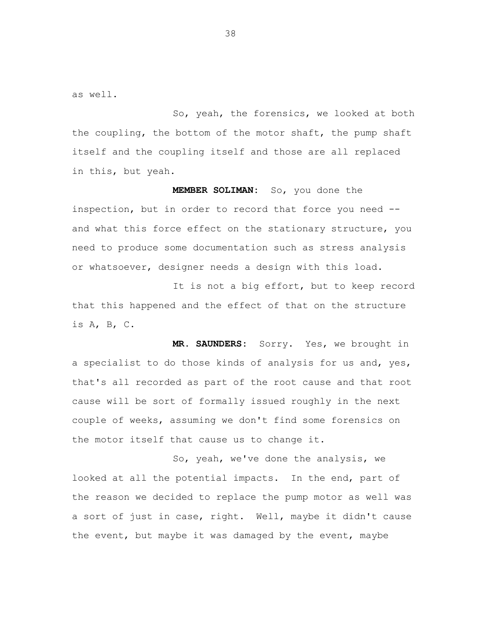as well.

So, yeah, the forensics, we looked at both the coupling, the bottom of the motor shaft, the pump shaft itself and the coupling itself and those are all replaced in this, but yeah.

**MEMBER SOLIMAN:** So, you done the inspection, but in order to record that force you need - and what this force effect on the stationary structure, you need to produce some documentation such as stress analysis or whatsoever, designer needs a design with this load.

It is not a big effort, but to keep record that this happened and the effect of that on the structure is A, B, C.

**MR. SAUNDERS:** Sorry. Yes, we brought in a specialist to do those kinds of analysis for us and, yes, that's all recorded as part of the root cause and that root cause will be sort of formally issued roughly in the next couple of weeks, assuming we don't find some forensics on the motor itself that cause us to change it.

So, yeah, we've done the analysis, we looked at all the potential impacts. In the end, part of the reason we decided to replace the pump motor as well was a sort of just in case, right. Well, maybe it didn't cause the event, but maybe it was damaged by the event, maybe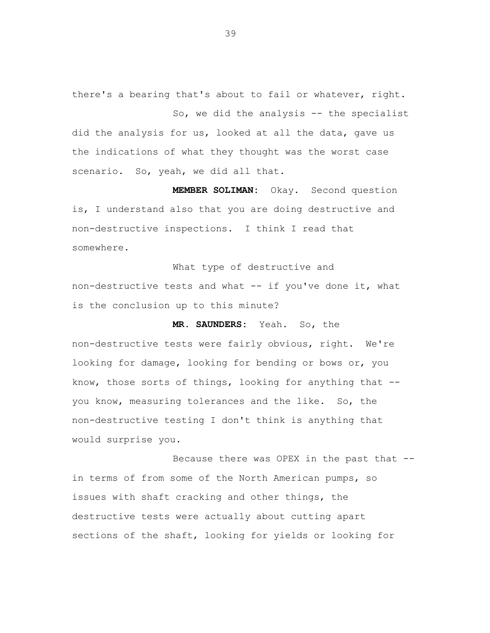there's a bearing that's about to fail or whatever, right.

So, we did the analysis -- the specialist did the analysis for us, looked at all the data, gave us the indications of what they thought was the worst case scenario. So, yeah, we did all that.

**MEMBER SOLIMAN:** Okay. Second question is, I understand also that you are doing destructive and non-destructive inspections. I think I read that somewhere.

What type of destructive and non-destructive tests and what -- if you've done it, what is the conclusion up to this minute?

**MR. SAUNDERS:** Yeah**.** So, the

non-destructive tests were fairly obvious, right. We're looking for damage, looking for bending or bows or, you know, those sorts of things, looking for anything that - you know, measuring tolerances and the like. So, the non-destructive testing I don't think is anything that would surprise you.

Because there was OPEX in the past that - in terms of from some of the North American pumps, so issues with shaft cracking and other things, the destructive tests were actually about cutting apart sections of the shaft, looking for yields or looking for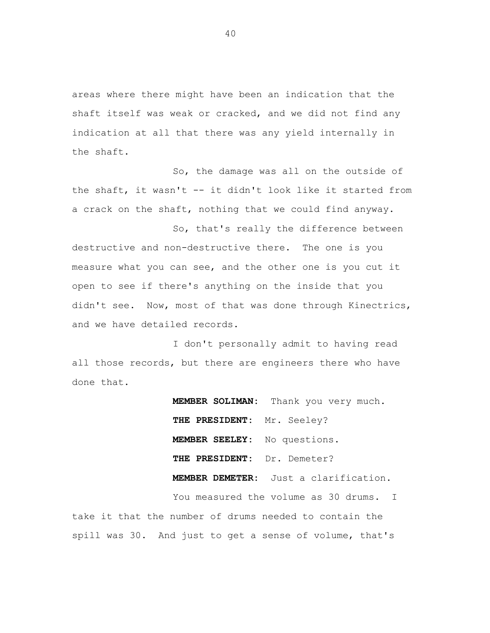areas where there might have been an indication that the shaft itself was weak or cracked, and we did not find any indication at all that there was any yield internally in the shaft.

So, the damage was all on the outside of the shaft, it wasn't -- it didn't look like it started from a crack on the shaft, nothing that we could find anyway.

So, that's really the difference between destructive and non-destructive there. The one is you measure what you can see, and the other one is you cut it open to see if there's anything on the inside that you didn't see. Now, most of that was done through Kinectrics, and we have detailed records.

I don't personally admit to having read all those records, but there are engineers there who have done that.

> **MEMBER SOLIMAN:** Thank you very much. **THE PRESIDENT:** Mr. Seeley? **MEMBER SEELEY:** No questions. **THE PRESIDENT:** Dr. Demeter?  **MEMBER DEMETER:** Just a clarification. You measured the volume as 30 drums. I

take it that the number of drums needed to contain the spill was 30. And just to get a sense of volume, that's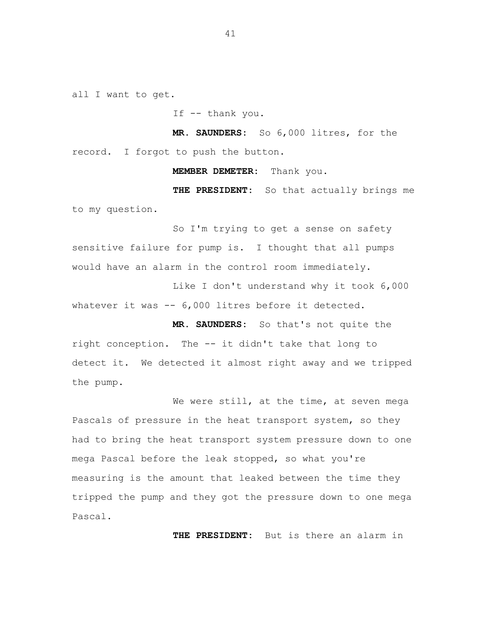all I want to get.

If -- thank you.

**MR. SAUNDERS:** So 6,000 litres, for the record. I forgot to push the button.

**MEMBER DEMETER:** Thank you.

**THE PRESIDENT:** So that actually brings me to my question.

So I'm trying to get a sense on safety sensitive failure for pump is. I thought that all pumps would have an alarm in the control room immediately.

Like I don't understand why it took 6,000 whatever it was -- 6,000 litres before it detected.

 **MR. SAUNDERS:** So that's not quite the right conception. The -- it didn't take that long to detect it. We detected it almost right away and we tripped the pump.

We were still, at the time, at seven mega Pascals of pressure in the heat transport system, so they had to bring the heat transport system pressure down to one mega Pascal before the leak stopped, so what you're measuring is the amount that leaked between the time they tripped the pump and they got the pressure down to one mega Pascal.

**THE PRESIDENT:** But is there an alarm in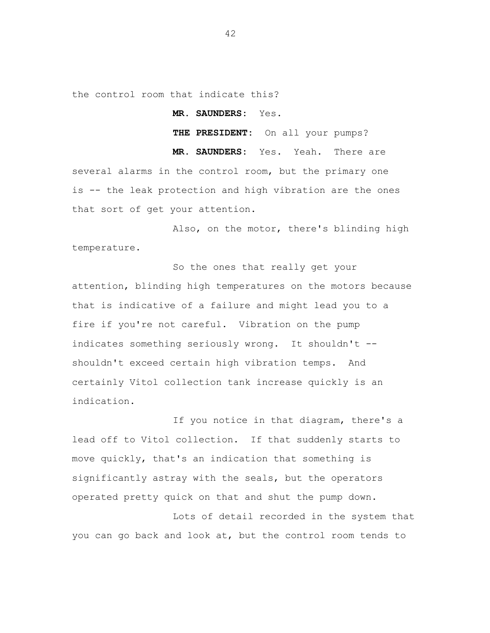the control room that indicate this?

 **MR. SAUNDERS:** Yes.

**THE PRESIDENT:** On all your pumps?

**MR. SAUNDERS:** Yes. Yeah. There are several alarms in the control room, but the primary one is -- the leak protection and high vibration are the ones that sort of get your attention.

Also, on the motor, there's blinding high temperature.

So the ones that really get your attention, blinding high temperatures on the motors because that is indicative of a failure and might lead you to a fire if you're not careful. Vibration on the pump indicates something seriously wrong. It shouldn't - shouldn't exceed certain high vibration temps. And certainly Vitol collection tank increase quickly is an indication.

If you notice in that diagram, there's a lead off to Vitol collection. If that suddenly starts to move quickly, that's an indication that something is significantly astray with the seals, but the operators operated pretty quick on that and shut the pump down.

Lots of detail recorded in the system that you can go back and look at, but the control room tends to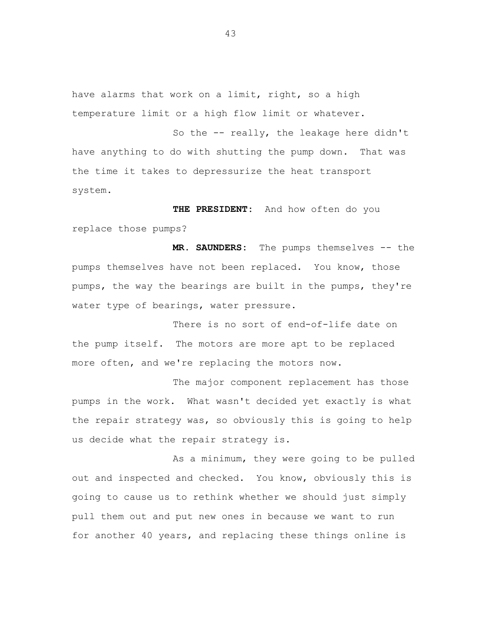have alarms that work on a limit, right, so a high temperature limit or a high flow limit or whatever.

So the -- really, the leakage here didn't have anything to do with shutting the pump down. That was the time it takes to depressurize the heat transport system.

 **THE PRESIDENT:** And how often do you replace those pumps?

**MR. SAUNDERS:** The pumps themselves -- the pumps themselves have not been replaced. You know, those pumps, the way the bearings are built in the pumps, they're water type of bearings, water pressure.

There is no sort of end-of-life date on the pump itself. The motors are more apt to be replaced more often, and we're replacing the motors now.

The major component replacement has those pumps in the work. What wasn't decided yet exactly is what the repair strategy was, so obviously this is going to help us decide what the repair strategy is.

As a minimum, they were going to be pulled out and inspected and checked. You know, obviously this is going to cause us to rethink whether we should just simply pull them out and put new ones in because we want to run for another 40 years, and replacing these things online is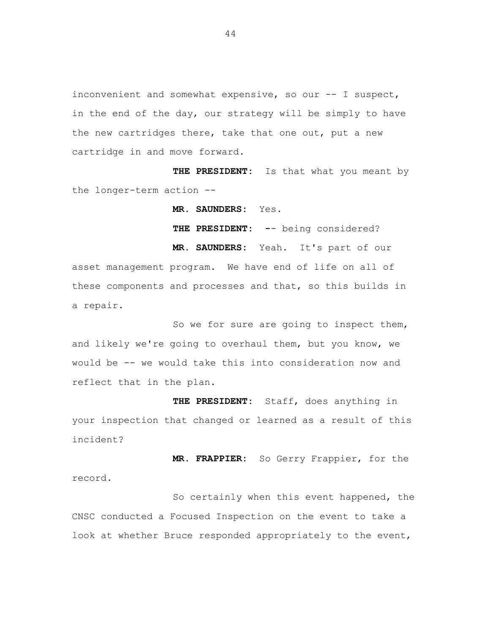inconvenient and somewhat expensive, so our -- I suspect, in the end of the day, our strategy will be simply to have the new cartridges there, take that one out, put a new cartridge in and move forward.

**THE PRESIDENT:** Is that what you meant by the longer-term action --

**MR. SAUNDERS:** Yes.

**THE PRESIDENT: -**- being considered? **MR. SAUNDERS:** Yeah. It's part of our

asset management program. We have end of life on all of these components and processes and that, so this builds in a repair.

So we for sure are going to inspect them, and likely we're going to overhaul them, but you know, we would be -- we would take this into consideration now and reflect that in the plan.

**THE PRESIDENT:** Staff, does anything in your inspection that changed or learned as a result of this incident?

**MR. FRAPPIER:** So Gerry Frappier, for the record.

So certainly when this event happened, the CNSC conducted a Focused Inspection on the event to take a look at whether Bruce responded appropriately to the event,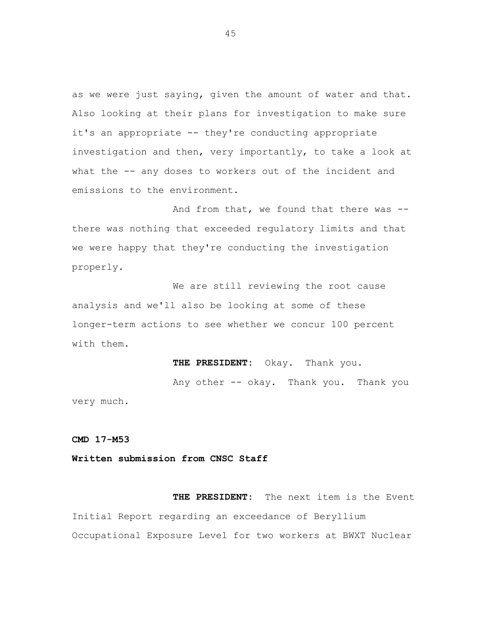as we were just saying, given the amount of water and that. Also looking at their plans for investigation to make sure it's an appropriate -- they're conducting appropriate investigation and then, very importantly, to take a look at what the -- any doses to workers out of the incident and emissions to the environment.

And from that, we found that there was - there was nothing that exceeded regulatory limits and that we were happy that they're conducting the investigation properly.

We are still reviewing the root cause analysis and we'll also be looking at some of these longer-term actions to see whether we concur 100 percent with them.

**THE PRESIDENT:** Okay. Thank you.

Any other -- okay. Thank you. Thank you very much.

**CMD 17-M53** 

**Written submission from CNSC Staff** 

**THE PRESIDENT:** The next item is the Event Initial Report regarding an exceedance of Beryllium Occupational Exposure Level for two workers at BWXT Nuclear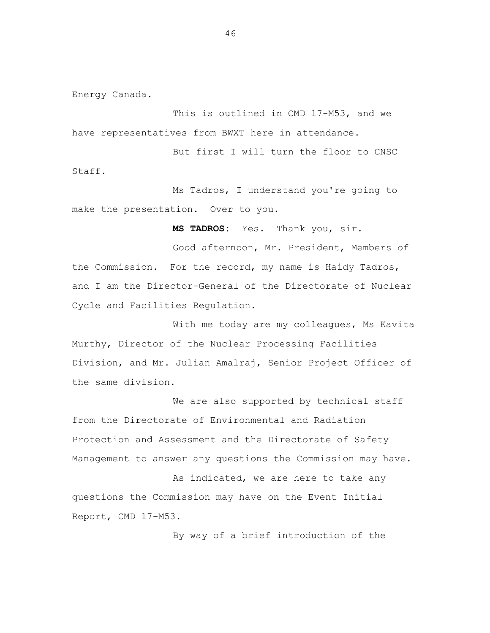Energy Canada.

This is outlined in CMD 17-M53, and we have representatives from BWXT here in attendance.

But first I will turn the floor to CNSC Staff.

Ms Tadros, I understand you're going to make the presentation. Over to you.

 **MS TADROS:** Yes. Thank you, sir.

Good afternoon, Mr. President, Members of the Commission. For the record, my name is Haidy Tadros, and I am the Director-General of the Directorate of Nuclear Cycle and Facilities Regulation.

With me today are my colleagues, Ms Kavita Murthy, Director of the Nuclear Processing Facilities Division, and Mr. Julian Amalraj, Senior Project Officer of the same division.

We are also supported by technical staff from the Directorate of Environmental and Radiation Protection and Assessment and the Directorate of Safety Management to answer any questions the Commission may have.

As indicated, we are here to take any questions the Commission may have on the Event Initial Report, CMD 17-M53.

By way of a brief introduction of the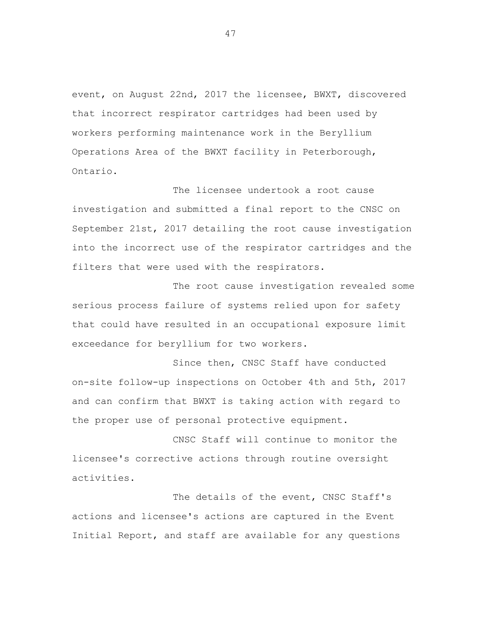event, on August 22nd, 2017 the licensee, BWXT, discovered that incorrect respirator cartridges had been used by workers performing maintenance work in the Beryllium Operations Area of the BWXT facility in Peterborough, Ontario.

The licensee undertook a root cause investigation and submitted a final report to the CNSC on September 21st, 2017 detailing the root cause investigation into the incorrect use of the respirator cartridges and the filters that were used with the respirators.

The root cause investigation revealed some serious process failure of systems relied upon for safety that could have resulted in an occupational exposure limit exceedance for beryllium for two workers.

Since then, CNSC Staff have conducted on-site follow-up inspections on October 4th and 5th, 2017 and can confirm that BWXT is taking action with regard to the proper use of personal protective equipment.

CNSC Staff will continue to monitor the licensee's corrective actions through routine oversight activities.

The details of the event, CNSC Staff's actions and licensee's actions are captured in the Event Initial Report, and staff are available for any questions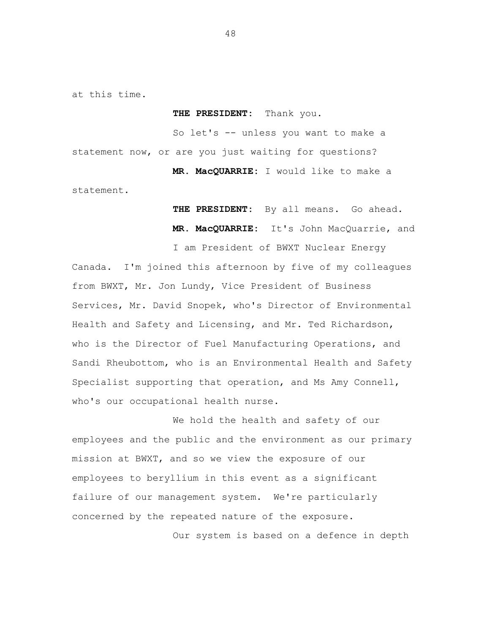at this time.

**THE PRESIDENT:** Thank you.

So let's -- unless you want to make a statement now, or are you just waiting for questions?

 **MR. MacQUARRIE:** I would like to make a statement.

> **THE PRESIDENT:** By all means. Go ahead.  **MR. MacQUARRIE:** It's John MacQuarrie, and

I am President of BWXT Nuclear Energy

Canada. I'm joined this afternoon by five of my colleagues from BWXT, Mr. Jon Lundy, Vice President of Business Services, Mr. David Snopek, who's Director of Environmental Health and Safety and Licensing, and Mr. Ted Richardson, who is the Director of Fuel Manufacturing Operations, and Sandi Rheubottom, who is an Environmental Health and Safety Specialist supporting that operation, and Ms Amy Connell, who's our occupational health nurse.

We hold the health and safety of our employees and the public and the environment as our primary mission at BWXT, and so we view the exposure of our employees to beryllium in this event as a significant failure of our management system. We're particularly concerned by the repeated nature of the exposure.

Our system is based on a defence in depth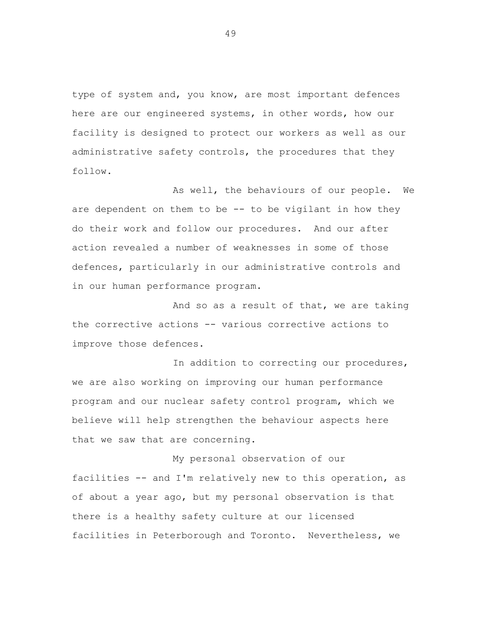type of system and, you know, are most important defences here are our engineered systems, in other words, how our facility is designed to protect our workers as well as our administrative safety controls, the procedures that they follow.

As well, the behaviours of our people. We are dependent on them to be  $-$  to be vigilant in how they do their work and follow our procedures. And our after action revealed a number of weaknesses in some of those defences, particularly in our administrative controls and in our human performance program.

And so as a result of that, we are taking the corrective actions -- various corrective actions to improve those defences.

In addition to correcting our procedures, we are also working on improving our human performance program and our nuclear safety control program, which we believe will help strengthen the behaviour aspects here that we saw that are concerning.

My personal observation of our facilities -- and I'm relatively new to this operation, as of about a year ago, but my personal observation is that there is a healthy safety culture at our licensed facilities in Peterborough and Toronto. Nevertheless, we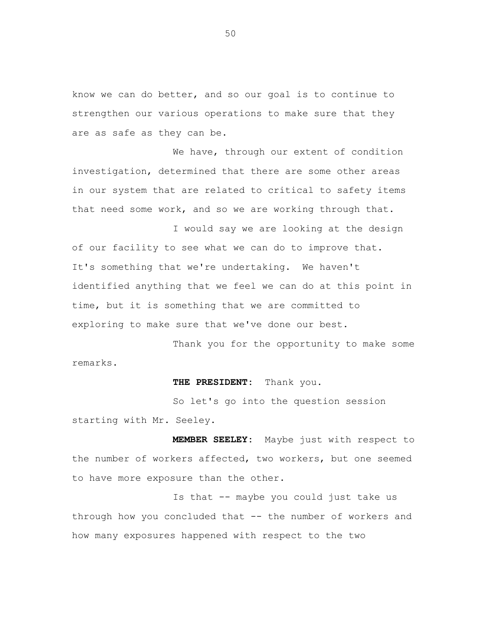know we can do better, and so our goal is to continue to strengthen our various operations to make sure that they are as safe as they can be.

We have, through our extent of condition investigation, determined that there are some other areas in our system that are related to critical to safety items that need some work, and so we are working through that.

I would say we are looking at the design of our facility to see what we can do to improve that. It's something that we're undertaking. We haven't identified anything that we feel we can do at this point in time, but it is something that we are committed to exploring to make sure that we've done our best.

Thank you for the opportunity to make some remarks.

#### **THE PRESIDENT:** Thank you.

So let's go into the question session starting with Mr. Seeley.

 **MEMBER SEELEY:** Maybe just with respect to the number of workers affected, two workers, but one seemed to have more exposure than the other.

Is that -- maybe you could just take us through how you concluded that -- the number of workers and how many exposures happened with respect to the two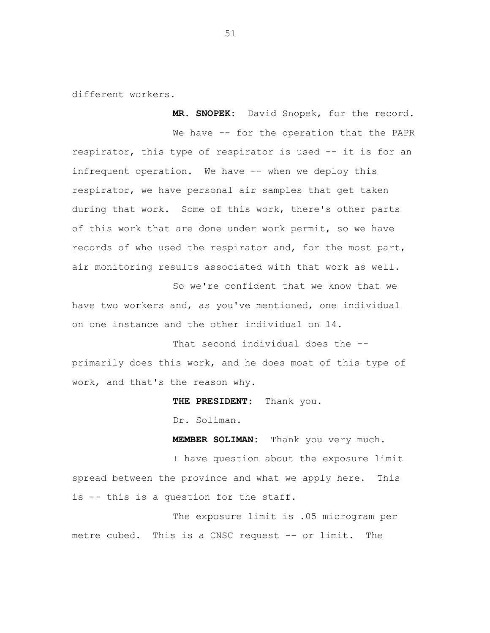different workers.

We have -- for the operation that the PAPR respirator, this type of respirator is used -- it is for an infrequent operation. We have -- when we deploy this respirator, we have personal air samples that get taken during that work. Some of this work, there's other parts of this work that are done under work permit, so we have records of who used the respirator and, for the most part, air monitoring results associated with that work as well.

**MR. SNOPEK:** David Snopek, for the record.

So we're confident that we know that we have two workers and, as you've mentioned, one individual on one instance and the other individual on 14.

That second individual does the - primarily does this work, and he does most of this type of work, and that's the reason why.

**THE PRESIDENT:** Thank you.

Dr. Soliman.

**MEMBER SOLIMAN:** Thank you very much.

I have question about the exposure limit spread between the province and what we apply here. This is -- this is a question for the staff.

The exposure limit is .05 microgram per metre cubed. This is a CNSC request -- or limit. The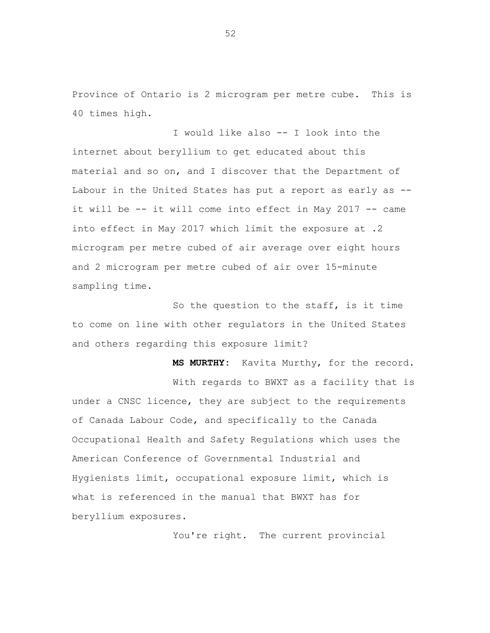Province of Ontario is 2 microgram per metre cube. This is 40 times high.

I would like also -- I look into the internet about beryllium to get educated about this material and so on, and I discover that the Department of Labour in the United States has put a report as early as - it will be -- it will come into effect in May 2017 -- came into effect in May 2017 which limit the exposure at .2 microgram per metre cubed of air average over eight hours and 2 microgram per metre cubed of air over 15-minute sampling time.

So the question to the staff, is it time to come on line with other regulators in the United States and others regarding this exposure limit?

 **MS MURTHY:** Kavita Murthy, for the record. With regards to BWXT as a facility that is under a CNSC licence, they are subject to the requirements of Canada Labour Code, and specifically to the Canada Occupational Health and Safety Regulations which uses the American Conference of Governmental Industrial and Hygienists limit, occupational exposure limit, which is what is referenced in the manual that BWXT has for beryllium exposures.

You're right. The current provincial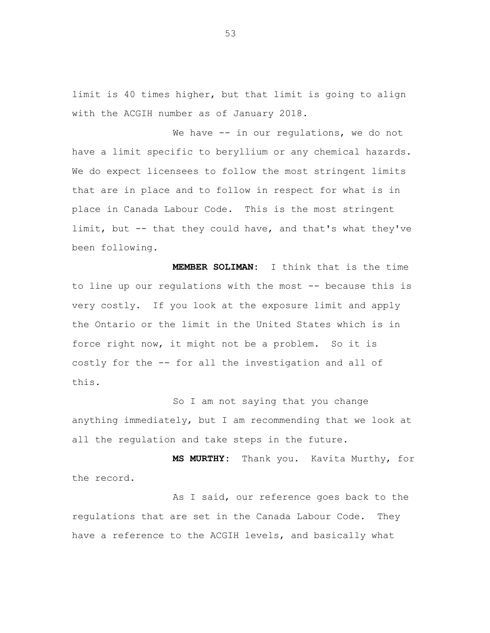limit is 40 times higher, but that limit is going to align with the ACGIH number as of January 2018.

We have -- in our regulations, we do not have a limit specific to beryllium or any chemical hazards. We do expect licensees to follow the most stringent limits that are in place and to follow in respect for what is in place in Canada Labour Code. This is the most stringent limit, but -- that they could have, and that's what they've been following.

 **MEMBER SOLIMAN:** I think that is the time to line up our regulations with the most -- because this is very costly. If you look at the exposure limit and apply the Ontario or the limit in the United States which is in force right now, it might not be a problem. So it is costly for the -- for all the investigation and all of this.

So I am not saying that you change anything immediately, but I am recommending that we look at all the regulation and take steps in the future.

 **MS MURTHY:** Thank you. Kavita Murthy, for the record.

As I said, our reference goes back to the regulations that are set in the Canada Labour Code. They have a reference to the ACGIH levels, and basically what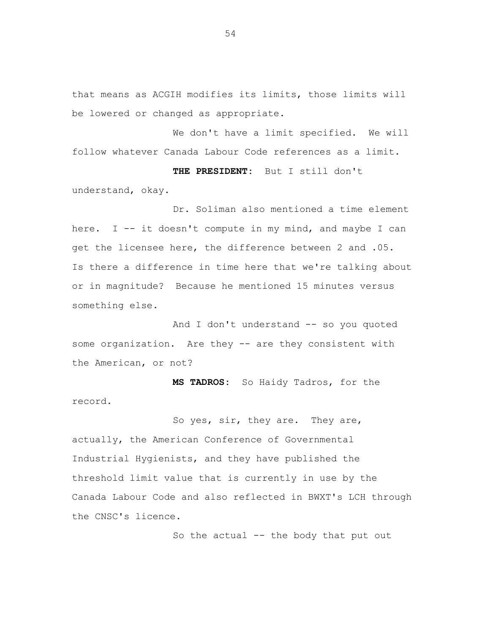that means as ACGIH modifies its limits, those limits will be lowered or changed as appropriate.

We don't have a limit specified. We will follow whatever Canada Labour Code references as a limit.

 **THE PRESIDENT:** But I still don't understand, okay.

Dr. Soliman also mentioned a time element here. I  $-$  it doesn't compute in my mind, and maybe I can get the licensee here, the difference between 2 and .05. Is there a difference in time here that we're talking about or in magnitude? Because he mentioned 15 minutes versus something else.

And I don't understand -- so you quoted some organization. Are they -- are they consistent with the American, or not?

 **MS TADROS:** So Haidy Tadros, for the record.

So yes, sir, they are. They are, actually, the American Conference of Governmental Industrial Hygienists, and they have published the threshold limit value that is currently in use by the Canada Labour Code and also reflected in BWXT's LCH through the CNSC's licence.

So the actual -- the body that put out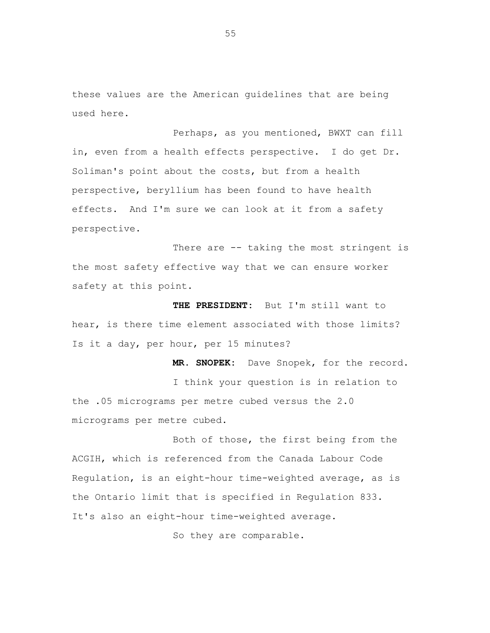these values are the American guidelines that are being used here.

Perhaps, as you mentioned, BWXT can fill in, even from a health effects perspective. I do get Dr. Soliman's point about the costs, but from a health perspective, beryllium has been found to have health effects. And I'm sure we can look at it from a safety perspective.

There are -- taking the most stringent is the most safety effective way that we can ensure worker safety at this point.

 **THE PRESIDENT:** But I'm still want to hear, is there time element associated with those limits? Is it a day, per hour, per 15 minutes?

 **MR. SNOPEK:** Dave Snopek, for the record. I think your question is in relation to the .05 micrograms per metre cubed versus the 2.0 micrograms per metre cubed.

Both of those, the first being from the ACGIH, which is referenced from the Canada Labour Code Regulation, is an eight-hour time-weighted average, as is the Ontario limit that is specified in Regulation 833. It's also an eight-hour time-weighted average.

So they are comparable.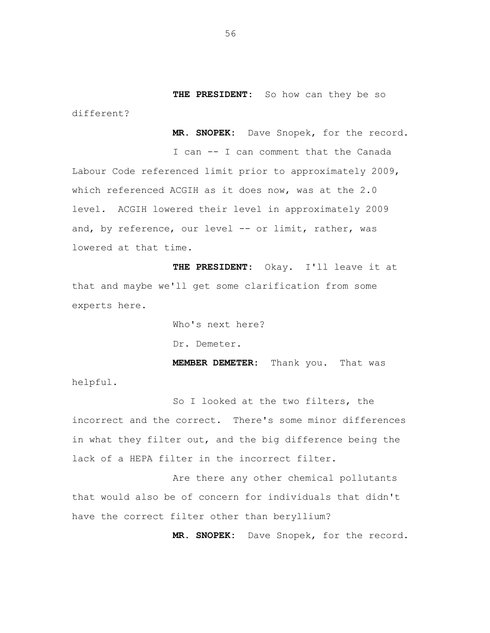**THE PRESIDENT:** So how can they be so

 **MR. SNOPEK:** Dave Snopek, for the record.

I can -- I can comment that the Canada Labour Code referenced limit prior to approximately 2009, which referenced ACGIH as it does now, was at the 2.0 level. ACGIH lowered their level in approximately 2009 and, by reference, our level -- or limit, rather, was lowered at that time.

**THE PRESIDENT:** Okay. I'll leave it at that and maybe we'll get some clarification from some experts here.

Who's next here?

Dr. Demeter.

 **MEMBER DEMETER:** Thank you. That was

helpful.

different?

So I looked at the two filters, the incorrect and the correct. There's some minor differences in what they filter out, and the big difference being the lack of a HEPA filter in the incorrect filter.

Are there any other chemical pollutants that would also be of concern for individuals that didn't have the correct filter other than beryllium?

**MR. SNOPEK:** Dave Snopek, for the record.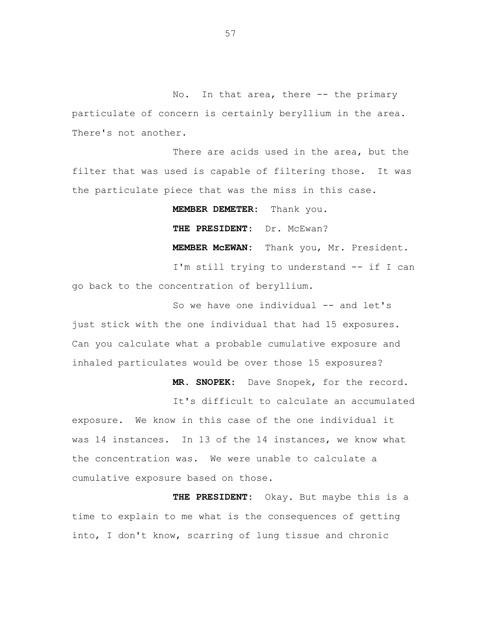No. In that area, there -- the primary particulate of concern is certainly beryllium in the area. There's not another.

There are acids used in the area, but the filter that was used is capable of filtering those. It was the particulate piece that was the miss in this case.

# **MEMBER DEMETER:** Thank you.

# **THE PRESIDENT:** Dr. McEwan?

**MEMBER McEWAN:** Thank you, Mr. President.

I'm still trying to understand -- if I can go back to the concentration of beryllium.

So we have one individual -- and let's just stick with the one individual that had 15 exposures. Can you calculate what a probable cumulative exposure and inhaled particulates would be over those 15 exposures?

**MR. SNOPEK:** Dave Snopek, for the record.

It's difficult to calculate an accumulated exposure. We know in this case of the one individual it was 14 instances. In 13 of the 14 instances, we know what the concentration was. We were unable to calculate a cumulative exposure based on those.

**THE PRESIDENT:** Okay. But maybe this is a time to explain to me what is the consequences of getting into, I don't know, scarring of lung tissue and chronic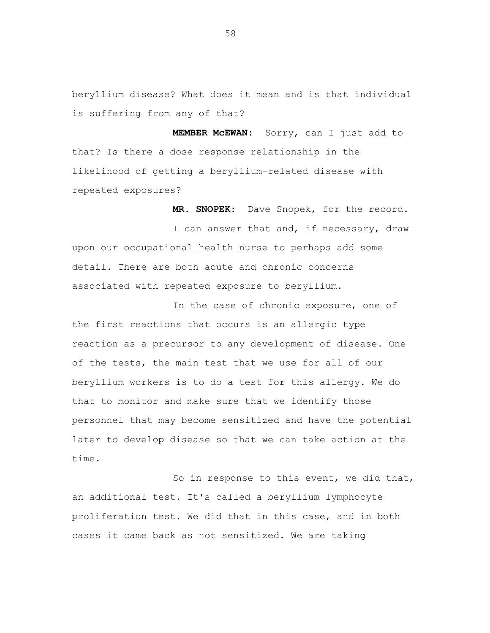beryllium disease? What does it mean and is that individual is suffering from any of that?

 **MEMBER McEWAN:** Sorry, can I just add to that? Is there a dose response relationship in the likelihood of getting a beryllium-related disease with repeated exposures?

 **MR. SNOPEK:** Dave Snopek, for the record. I can answer that and, if necessary, draw upon our occupational health nurse to perhaps add some detail. There are both acute and chronic concerns associated with repeated exposure to beryllium.

In the case of chronic exposure, one of the first reactions that occurs is an allergic type reaction as a precursor to any development of disease. One of the tests, the main test that we use for all of our beryllium workers is to do a test for this allergy. We do that to monitor and make sure that we identify those personnel that may become sensitized and have the potential later to develop disease so that we can take action at the time.

So in response to this event, we did that, an additional test. It's called a beryllium lymphocyte proliferation test. We did that in this case, and in both cases it came back as not sensitized. We are taking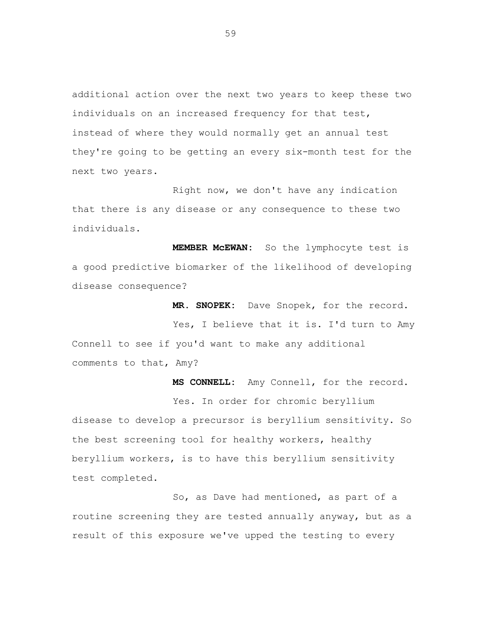additional action over the next two years to keep these two individuals on an increased frequency for that test, instead of where they would normally get an annual test they're going to be getting an every six-month test for the next two years.

Right now, we don't have any indication that there is any disease or any consequence to these two individuals.

 **MEMBER McEWAN:** So the lymphocyte test is a good predictive biomarker of the likelihood of developing disease consequence?

 **MR. SNOPEK:** Dave Snopek, for the record.

Yes, I believe that it is. I'd turn to Amy Connell to see if you'd want to make any additional comments to that, Amy?

 **MS CONNELL:** Amy Connell, for the record. Yes. In order for chromic beryllium disease to develop a precursor is beryllium sensitivity. So the best screening tool for healthy workers, healthy beryllium workers, is to have this beryllium sensitivity test completed.

So, as Dave had mentioned, as part of a routine screening they are tested annually anyway, but as a result of this exposure we've upped the testing to every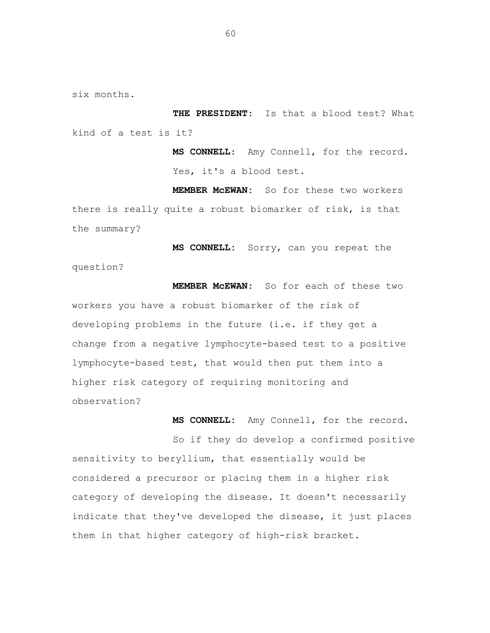six months.

 **THE PRESIDENT:** Is that a blood test? What kind of a test is it?

> **MS CONNELL**: Amy Connell, for the record. Yes, it's a blood test.

 **MEMBER McEWAN:** So for these two workers there is really quite a robust biomarker of risk, is that the summary?

 **MS CONNELL:** Sorry, can you repeat the question?

 **MEMBER McEWAN:** So for each of these two workers you have a robust biomarker of the risk of developing problems in the future (i.e. if they get a change from a negative lymphocyte-based test to a positive lymphocyte-based test, that would then put them into a higher risk category of requiring monitoring and observation?

 **MS CONNELL:** Amy Connell, for the record.

So if they do develop a confirmed positive sensitivity to beryllium, that essentially would be considered a precursor or placing them in a higher risk category of developing the disease. It doesn't necessarily indicate that they've developed the disease, it just places them in that higher category of high-risk bracket.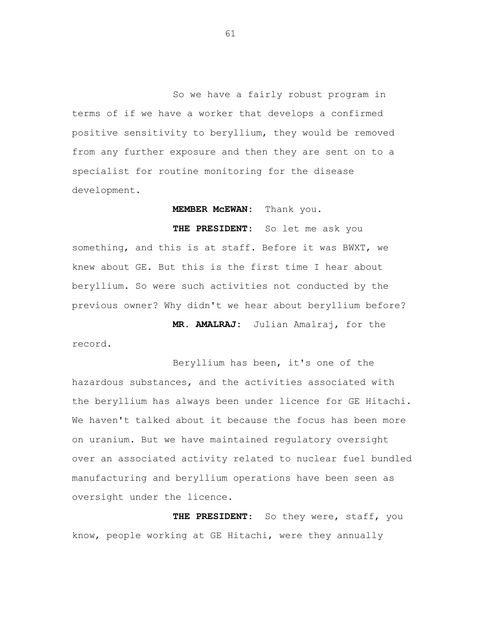So we have a fairly robust program in terms of if we have a worker that develops a confirmed positive sensitivity to beryllium, they would be removed from any further exposure and then they are sent on to a specialist for routine monitoring for the disease development.

 **MEMBER McEWAN:** Thank you.

 **THE PRESIDENT:** So let me ask you something, and this is at staff. Before it was BWXT, we knew about GE. But this is the first time I hear about beryllium. So were such activities not conducted by the previous owner? Why didn't we hear about beryllium before?

 **MR. AMALRAJ:** Julian Amalraj, for the record.

Beryllium has been, it's one of the hazardous substances, and the activities associated with the beryllium has always been under licence for GE Hitachi. We haven't talked about it because the focus has been more on uranium. But we have maintained regulatory oversight over an associated activity related to nuclear fuel bundled manufacturing and beryllium operations have been seen as oversight under the licence.

 **THE PRESIDENT**: So they were, staff, you know, people working at GE Hitachi, were they annually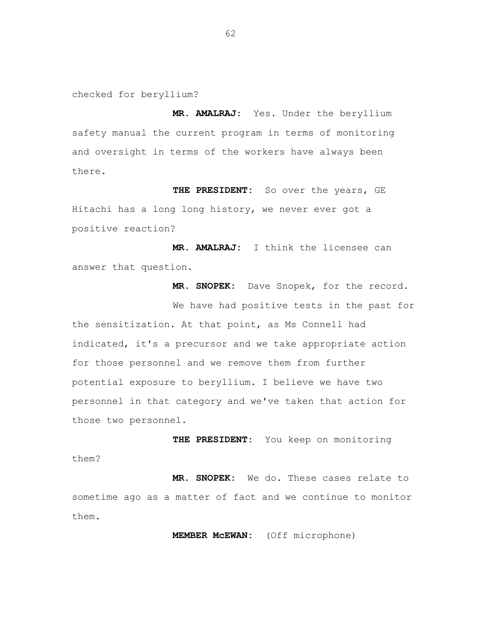checked for beryllium?

 **MR. AMALRAJ:** Yes. Under the beryllium safety manual the current program in terms of monitoring and oversight in terms of the workers have always been there.

 **THE PRESIDENT:** So over the years, GE Hitachi has a long long history, we never ever got a positive reaction?

 **MR. AMALRAJ:** I think the licensee can answer that question.

 **MR. SNOPEK:** Dave Snopek, for the record.

We have had positive tests in the past for the sensitization. At that point, as Ms Connell had indicated, it's a precursor and we take appropriate action for those personnel and we remove them from further potential exposure to beryllium. I believe we have two personnel in that category and we've taken that action for those two personnel.

 **THE PRESIDENT:** You keep on monitoring them?

 **MR. SNOPEK:** We do. These cases relate to sometime ago as a matter of fact and we continue to monitor them.

 **MEMBER McEWAN:** (Off microphone)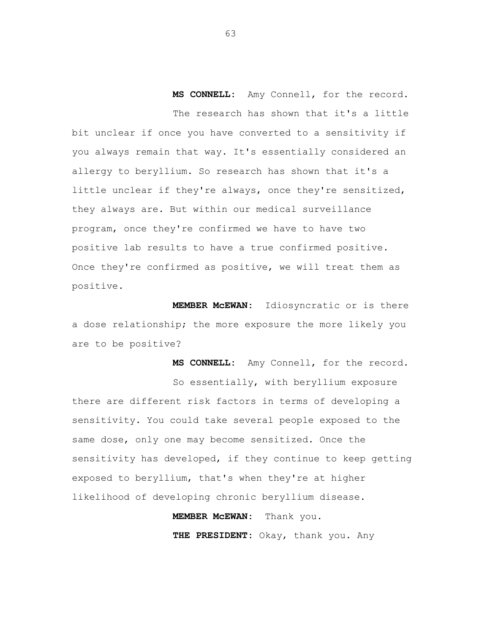**MS CONNELL:** Amy Connell, for the record. The research has shown that it's a little bit unclear if once you have converted to a sensitivity if you always remain that way. It's essentially considered an allergy to beryllium. So research has shown that it's a little unclear if they're always, once they're sensitized, they always are. But within our medical surveillance program, once they're confirmed we have to have two positive lab results to have a true confirmed positive. Once they're confirmed as positive, we will treat them as positive.

 **MEMBER McEWAN:** Idiosyncratic or is there a dose relationship; the more exposure the more likely you are to be positive?

So essentially, with beryllium exposure there are different risk factors in terms of developing a sensitivity. You could take several people exposed to the same dose, only one may become sensitized. Once the sensitivity has developed, if they continue to keep getting exposed to beryllium, that's when they're at higher likelihood of developing chronic beryllium disease.

**MEMBER McEWAN:** Thank you.

 **THE PRESIDENT:** Okay, thank you. Any

**MS CONNELL:** Amy Connell, for the record.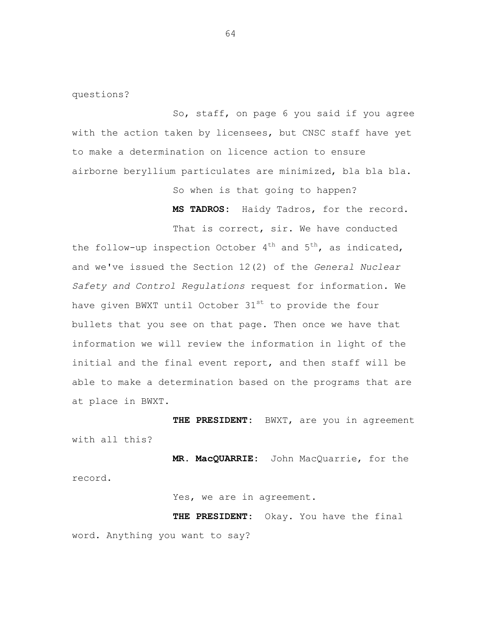questions?

So, staff, on page 6 you said if you agree with the action taken by licensees, but CNSC staff have yet to make a determination on licence action to ensure airborne beryllium particulates are minimized, bla bla bla.

So when is that going to happen?

**MS TADROS:** Haidy Tadros, for the record.

That is correct, sir. We have conducted the follow-up inspection October  $4^{th}$  and  $5^{th}$ , as indicated, and we've issued the Section 12(2) of the *General Nuclear Safety and Control Regulations* request for information. We have given BWXT until October 31<sup>st</sup> to provide the four bullets that you see on that page. Then once we have that information we will review the information in light of the initial and the final event report, and then staff will be able to make a determination based on the programs that are at place in BWXT.

**THE PRESIDENT:** BWXT, are you in agreement with all this?

 **MR. MacQUARRIE:** John MacQuarrie, for the record.

### Yes, we are in agreement.

 **THE PRESIDENT:** Okay. You have the final word. Anything you want to say?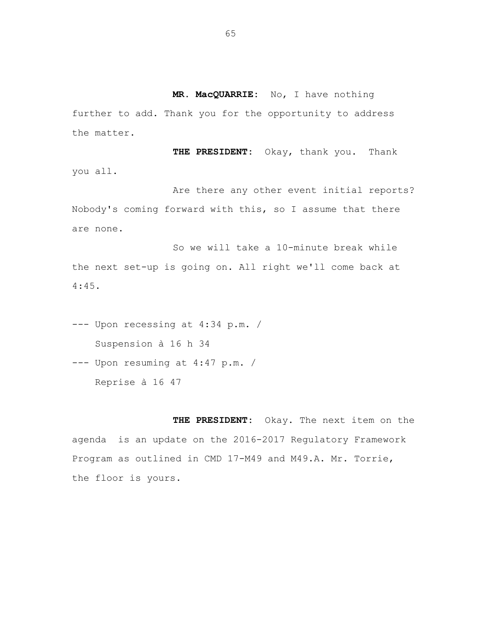**MR. MacQUARRIE:** No, I have nothing further to add. Thank you for the opportunity to address the matter.

 **THE PRESIDENT:** Okay, thank you. Thank you all.

Are there any other event initial reports? Nobody's coming forward with this, so I assume that there are none.

So we will take a 10-minute break while the next set-up is going on. All right we'll come back at 4:45.

- --- Upon recessing at 4:34 p.m. / Suspension à 16 h 34
- --- Upon resuming at 4:47 p.m. / Reprise à 16 47

 **THE PRESIDENT:** Okay. The next item on the agenda is an update on the 2016-2017 Regulatory Framework Program as outlined in CMD 17-M49 and M49.A. Mr. Torrie, the floor is yours.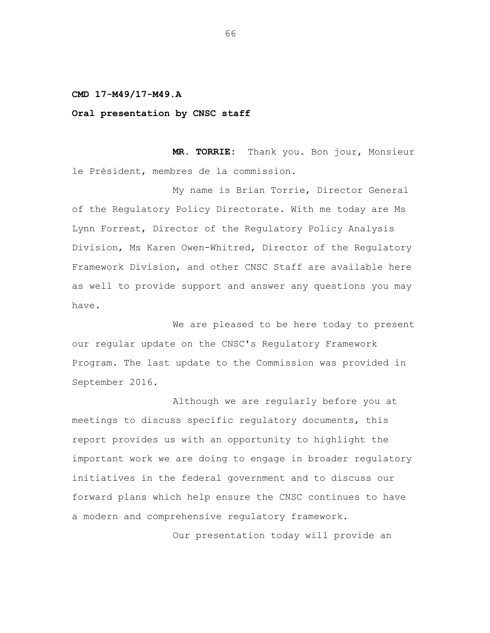#### **CMD 17-M49/17-M49.A**

## **Oral presentation by CNSC staff**

 **MR. TORRIE:** Thank you. Bon jour, Monsieur le Président, membres de la commission.

My name is Brian Torrie, Director General of the Regulatory Policy Directorate. With me today are Ms Lynn Forrest, Director of the Regulatory Policy Analysis Division, Ms Karen Owen-Whitred, Director of the Regulatory Framework Division, and other CNSC Staff are available here as well to provide support and answer any questions you may have.

We are pleased to be here today to present our regular update on the CNSC's Regulatory Framework Program. The last update to the Commission was provided in September 2016.

Although we are regularly before you at meetings to discuss specific regulatory documents, this report provides us with an opportunity to highlight the important work we are doing to engage in broader regulatory initiatives in the federal government and to discuss our forward plans which help ensure the CNSC continues to have a modern and comprehensive regulatory framework.

Our presentation today will provide an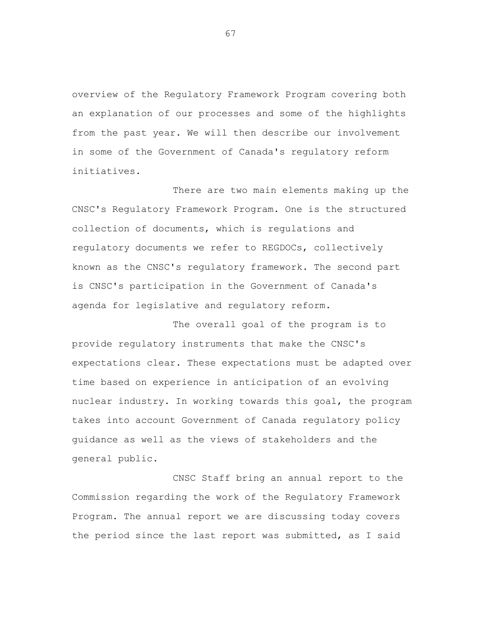overview of the Regulatory Framework Program covering both an explanation of our processes and some of the highlights from the past year. We will then describe our involvement in some of the Government of Canada's regulatory reform initiatives.

There are two main elements making up the CNSC's Regulatory Framework Program. One is the structured collection of documents, which is regulations and regulatory documents we refer to REGDOCs, collectively known as the CNSC's regulatory framework. The second part is CNSC's participation in the Government of Canada's agenda for legislative and regulatory reform.

The overall goal of the program is to provide regulatory instruments that make the CNSC's expectations clear. These expectations must be adapted over time based on experience in anticipation of an evolving nuclear industry. In working towards this goal, the program takes into account Government of Canada regulatory policy guidance as well as the views of stakeholders and the general public.

CNSC Staff bring an annual report to the Commission regarding the work of the Regulatory Framework Program. The annual report we are discussing today covers the period since the last report was submitted, as I said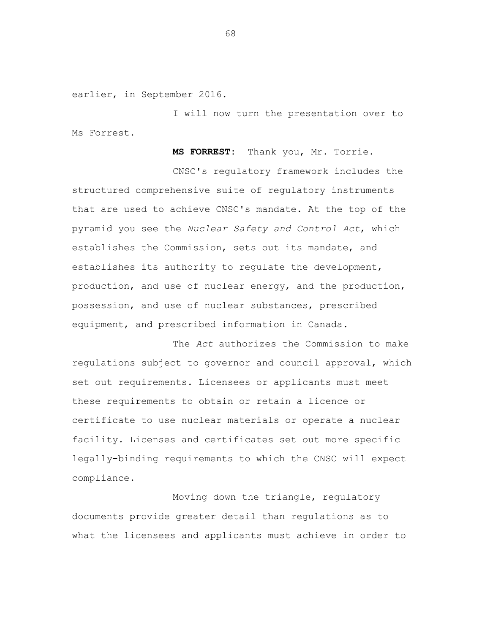earlier, in September 2016.

I will now turn the presentation over to Ms Forrest.

 **MS FORREST:** Thank you, Mr. Torrie.

CNSC's regulatory framework includes the structured comprehensive suite of regulatory instruments that are used to achieve CNSC's mandate. At the top of the pyramid you see the *Nuclear Safety and Control Act*, which establishes the Commission, sets out its mandate, and establishes its authority to regulate the development, production, and use of nuclear energy, and the production, possession, and use of nuclear substances, prescribed equipment, and prescribed information in Canada.

The *Act* authorizes the Commission to make regulations subject to governor and council approval, which set out requirements. Licensees or applicants must meet these requirements to obtain or retain a licence or certificate to use nuclear materials or operate a nuclear facility. Licenses and certificates set out more specific legally-binding requirements to which the CNSC will expect compliance.

Moving down the triangle, regulatory documents provide greater detail than regulations as to what the licensees and applicants must achieve in order to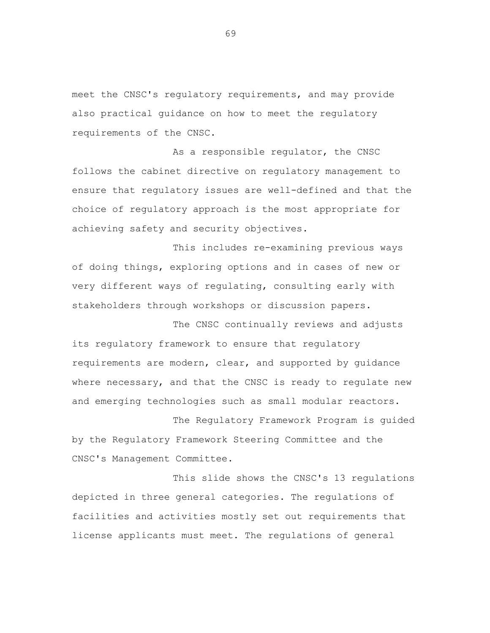meet the CNSC's regulatory requirements, and may provide also practical guidance on how to meet the regulatory requirements of the CNSC.

As a responsible regulator, the CNSC follows the cabinet directive on regulatory management to ensure that regulatory issues are well-defined and that the choice of regulatory approach is the most appropriate for achieving safety and security objectives.

This includes re-examining previous ways of doing things, exploring options and in cases of new or very different ways of regulating, consulting early with stakeholders through workshops or discussion papers.

The CNSC continually reviews and adjusts its regulatory framework to ensure that regulatory requirements are modern, clear, and supported by guidance where necessary, and that the CNSC is ready to regulate new and emerging technologies such as small modular reactors.

The Regulatory Framework Program is guided by the Regulatory Framework Steering Committee and the CNSC's Management Committee.

This slide shows the CNSC's 13 regulations depicted in three general categories. The regulations of facilities and activities mostly set out requirements that license applicants must meet. The regulations of general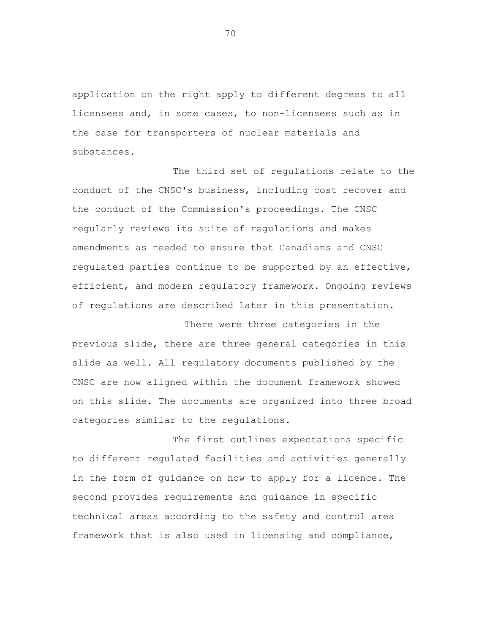application on the right apply to different degrees to all licensees and, in some cases, to non-licensees such as in the case for transporters of nuclear materials and substances.

The third set of regulations relate to the conduct of the CNSC's business, including cost recover and the conduct of the Commission's proceedings. The CNSC regularly reviews its suite of regulations and makes amendments as needed to ensure that Canadians and CNSC regulated parties continue to be supported by an effective, efficient, and modern regulatory framework. Ongoing reviews of regulations are described later in this presentation.

There were three categories in the previous slide, there are three general categories in this slide as well. All regulatory documents published by the CNSC are now aligned within the document framework showed on this slide. The documents are organized into three broad categories similar to the regulations.

The first outlines expectations specific to different regulated facilities and activities generally in the form of guidance on how to apply for a licence. The second provides requirements and guidance in specific technical areas according to the safety and control area framework that is also used in licensing and compliance,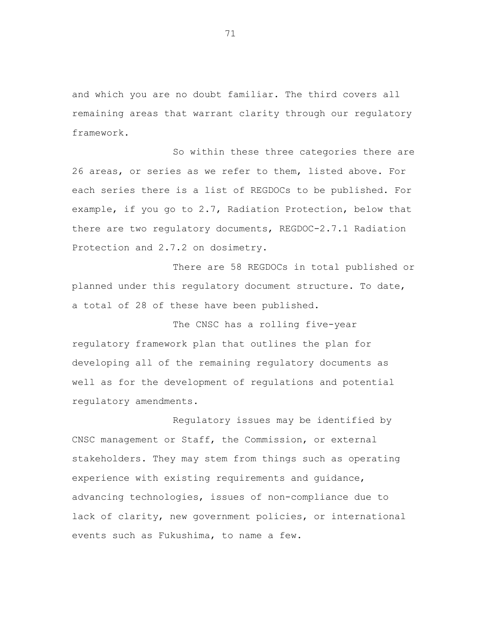and which you are no doubt familiar. The third covers all remaining areas that warrant clarity through our regulatory framework.

So within these three categories there are 26 areas, or series as we refer to them, listed above. For each series there is a list of REGDOCs to be published. For example, if you go to 2.7, Radiation Protection, below that there are two regulatory documents, REGDOC-2.7.1 Radiation Protection and 2.7.2 on dosimetry.

There are 58 REGDOCs in total published or planned under this regulatory document structure. To date, a total of 28 of these have been published.

The CNSC has a rolling five-year regulatory framework plan that outlines the plan for developing all of the remaining regulatory documents as well as for the development of regulations and potential regulatory amendments.

Regulatory issues may be identified by CNSC management or Staff, the Commission, or external stakeholders. They may stem from things such as operating experience with existing requirements and guidance, advancing technologies, issues of non-compliance due to lack of clarity, new government policies, or international events such as Fukushima, to name a few.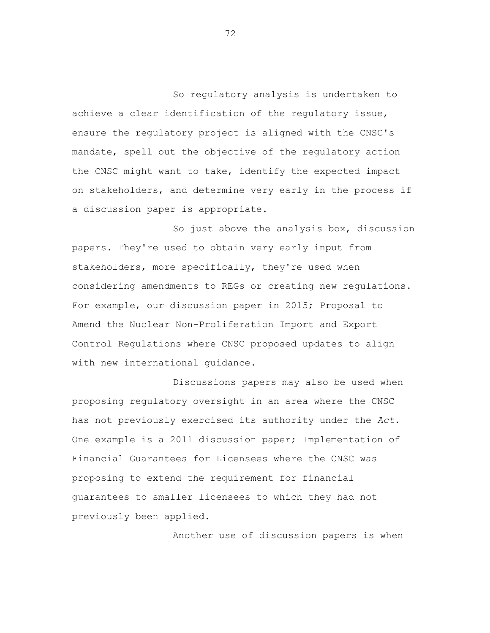So regulatory analysis is undertaken to achieve a clear identification of the regulatory issue, ensure the regulatory project is aligned with the CNSC's mandate, spell out the objective of the regulatory action the CNSC might want to take, identify the expected impact on stakeholders, and determine very early in the process if a discussion paper is appropriate.

So just above the analysis box, discussion papers. They're used to obtain very early input from stakeholders, more specifically, they're used when considering amendments to REGs or creating new regulations. For example, our discussion paper in 2015; Proposal to Amend the Nuclear Non-Proliferation Import and Export Control Regulations where CNSC proposed updates to align with new international guidance.

Discussions papers may also be used when proposing regulatory oversight in an area where the CNSC has not previously exercised its authority under the *Act*. One example is a 2011 discussion paper; Implementation of Financial Guarantees for Licensees where the CNSC was proposing to extend the requirement for financial guarantees to smaller licensees to which they had not previously been applied.

Another use of discussion papers is when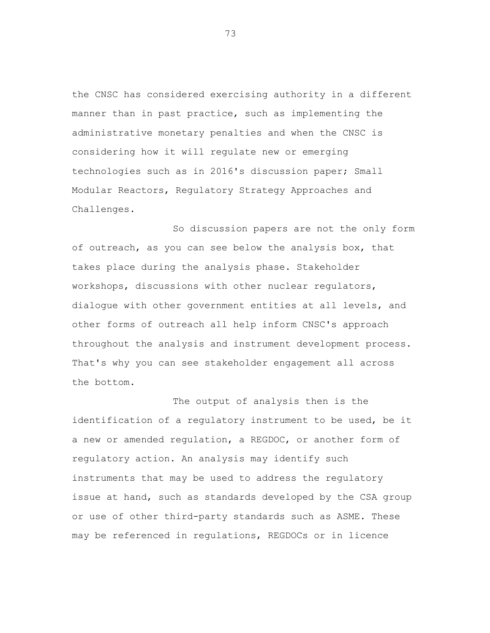the CNSC has considered exercising authority in a different manner than in past practice, such as implementing the administrative monetary penalties and when the CNSC is considering how it will regulate new or emerging technologies such as in 2016's discussion paper; Small Modular Reactors, Regulatory Strategy Approaches and Challenges.

So discussion papers are not the only form of outreach, as you can see below the analysis box, that takes place during the analysis phase. Stakeholder workshops, discussions with other nuclear regulators, dialogue with other government entities at all levels, and other forms of outreach all help inform CNSC's approach throughout the analysis and instrument development process. That's why you can see stakeholder engagement all across the bottom.

The output of analysis then is the identification of a regulatory instrument to be used, be it a new or amended regulation, a REGDOC, or another form of regulatory action. An analysis may identify such instruments that may be used to address the regulatory issue at hand, such as standards developed by the CSA group or use of other third-party standards such as ASME. These may be referenced in regulations, REGDOCs or in licence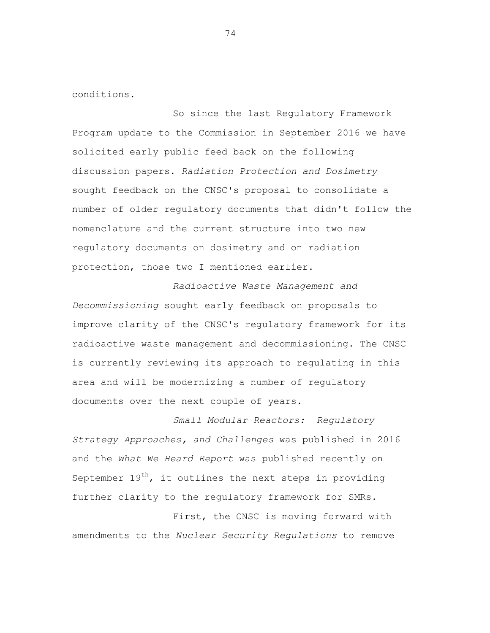conditions.

So since the last Regulatory Framework Program update to the Commission in September 2016 we have solicited early public feed back on the following discussion papers. *Radiation Protection and Dosimetry*  sought feedback on the CNSC's proposal to consolidate a number of older regulatory documents that didn't follow the nomenclature and the current structure into two new regulatory documents on dosimetry and on radiation protection, those two I mentioned earlier.

*Radioactive Waste Management and Decommissioning* sought early feedback on proposals to improve clarity of the CNSC's regulatory framework for its radioactive waste management and decommissioning. The CNSC is currently reviewing its approach to regulating in this area and will be modernizing a number of regulatory documents over the next couple of years.

*Small Modular Reactors: Regulatory Strategy Approaches, and Challenges* was published in 2016 and the *What We Heard Report* was published recently on September  $19<sup>th</sup>$ , it outlines the next steps in providing further clarity to the regulatory framework for SMRs.

First, the CNSC is moving forward with amendments to the *Nuclear Security Regulations* to remove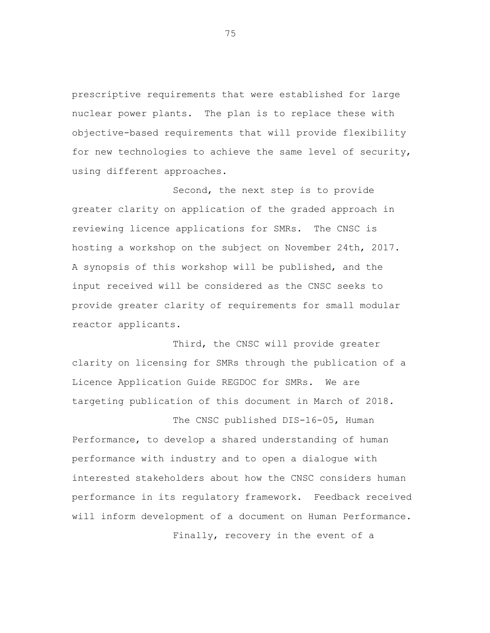prescriptive requirements that were established for large nuclear power plants. The plan is to replace these with objective-based requirements that will provide flexibility for new technologies to achieve the same level of security, using different approaches.

Second, the next step is to provide greater clarity on application of the graded approach in reviewing licence applications for SMRs. The CNSC is hosting a workshop on the subject on November 24th, 2017. A synopsis of this workshop will be published, and the input received will be considered as the CNSC seeks to provide greater clarity of requirements for small modular reactor applicants.

Third, the CNSC will provide greater clarity on licensing for SMRs through the publication of a Licence Application Guide REGDOC for SMRs. We are targeting publication of this document in March of 2018.

The CNSC published DIS-16-05, Human Performance, to develop a shared understanding of human performance with industry and to open a dialogue with interested stakeholders about how the CNSC considers human performance in its regulatory framework. Feedback received will inform development of a document on Human Performance.

Finally, recovery in the event of a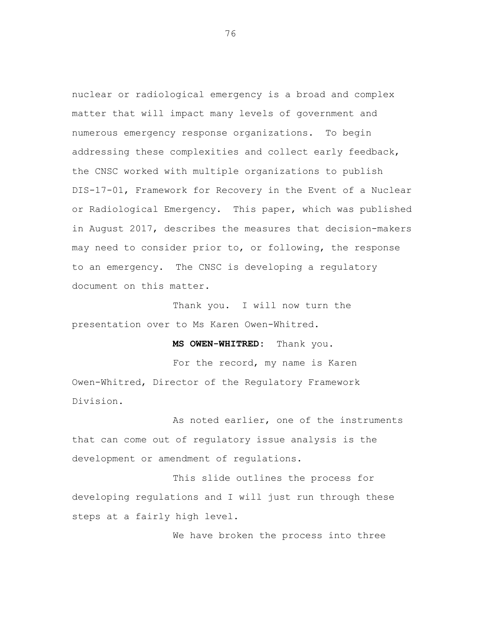nuclear or radiological emergency is a broad and complex matter that will impact many levels of government and numerous emergency response organizations. To begin addressing these complexities and collect early feedback, the CNSC worked with multiple organizations to publish DIS-17-01, Framework for Recovery in the Event of a Nuclear or Radiological Emergency. This paper, which was published in August 2017, describes the measures that decision-makers may need to consider prior to, or following, the response to an emergency. The CNSC is developing a regulatory document on this matter.

Thank you. I will now turn the presentation over to Ms Karen Owen-Whitred.

**MS OWEN-WHITRED:** Thank you.

For the record, my name is Karen Owen-Whitred, Director of the Regulatory Framework Division.

As noted earlier, one of the instruments that can come out of regulatory issue analysis is the development or amendment of regulations.

This slide outlines the process for developing regulations and I will just run through these steps at a fairly high level.

We have broken the process into three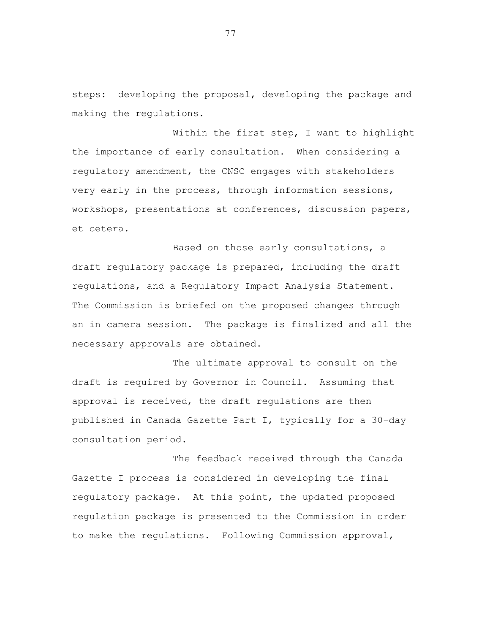steps: developing the proposal, developing the package and making the regulations.

Within the first step, I want to highlight the importance of early consultation. When considering a regulatory amendment, the CNSC engages with stakeholders very early in the process, through information sessions, workshops, presentations at conferences, discussion papers, et cetera.

Based on those early consultations, a draft regulatory package is prepared, including the draft regulations, and a Regulatory Impact Analysis Statement. The Commission is briefed on the proposed changes through an in camera session. The package is finalized and all the necessary approvals are obtained.

The ultimate approval to consult on the draft is required by Governor in Council. Assuming that approval is received, the draft regulations are then published in Canada Gazette Part I, typically for a 30-day consultation period.

The feedback received through the Canada Gazette I process is considered in developing the final regulatory package. At this point, the updated proposed regulation package is presented to the Commission in order to make the regulations. Following Commission approval,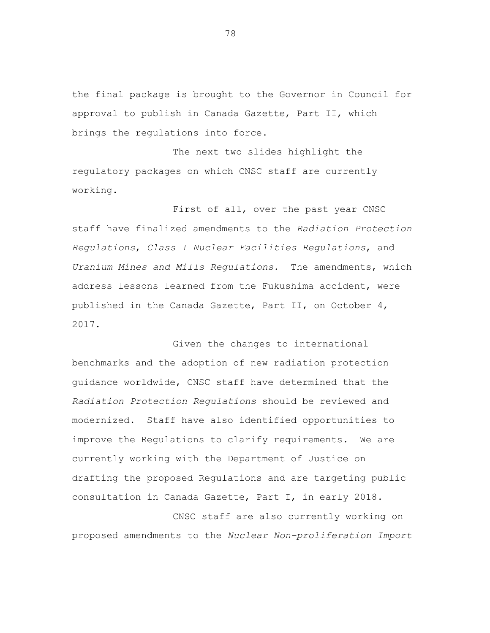the final package is brought to the Governor in Council for approval to publish in Canada Gazette, Part II, which brings the regulations into force.

The next two slides highlight the regulatory packages on which CNSC staff are currently working.

First of all, over the past year CNSC staff have finalized amendments to the *Radiation Protection Regulations*, *Class I Nuclear Facilities Regulations*, and *Uranium Mines and Mills Regulations*. The amendments, which address lessons learned from the Fukushima accident, were published in the Canada Gazette, Part II, on October 4, 2017.

Given the changes to international benchmarks and the adoption of new radiation protection guidance worldwide, CNSC staff have determined that the *Radiation Protection Regulations* should be reviewed and modernized. Staff have also identified opportunities to improve the Regulations to clarify requirements. We are currently working with the Department of Justice on drafting the proposed Regulations and are targeting public consultation in Canada Gazette, Part I, in early 2018.

CNSC staff are also currently working on proposed amendments to the *Nuclear Non-proliferation Import*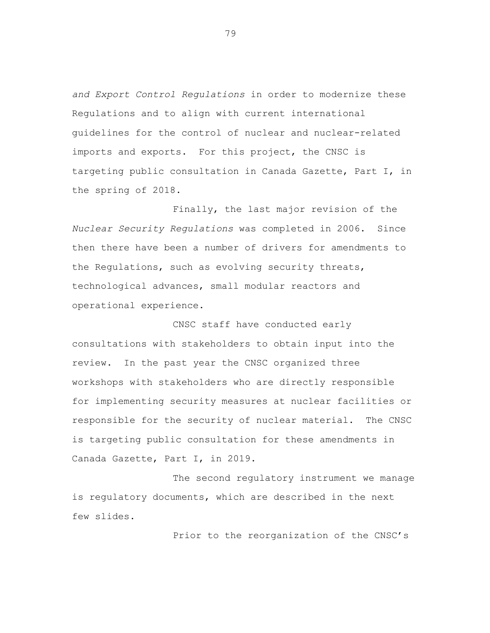*and Export Control Regulations* in order to modernize these Regulations and to align with current international guidelines for the control of nuclear and nuclear-related imports and exports. For this project, the CNSC is targeting public consultation in Canada Gazette, Part I, in the spring of 2018.

Finally, the last major revision of the *Nuclear Security Regulations* was completed in 2006. Since then there have been a number of drivers for amendments to the Regulations, such as evolving security threats, technological advances, small modular reactors and operational experience.

CNSC staff have conducted early consultations with stakeholders to obtain input into the review. In the past year the CNSC organized three workshops with stakeholders who are directly responsible for implementing security measures at nuclear facilities or responsible for the security of nuclear material. The CNSC is targeting public consultation for these amendments in Canada Gazette, Part I, in 2019.

The second regulatory instrument we manage is regulatory documents, which are described in the next few slides.

Prior to the reorganization of the CNSC's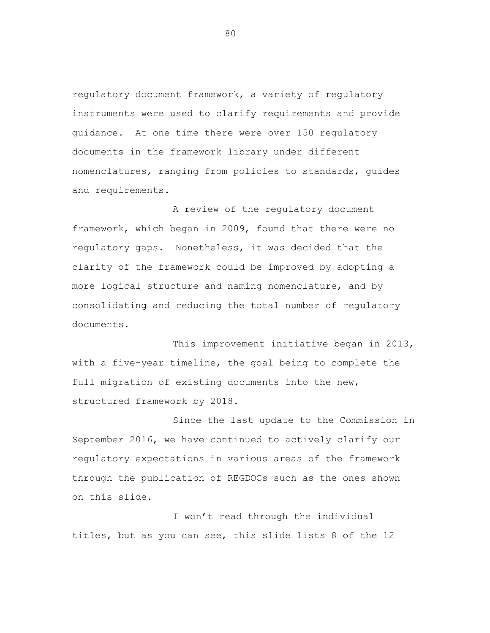regulatory document framework, a variety of regulatory instruments were used to clarify requirements and provide guidance. At one time there were over 150 regulatory documents in the framework library under different nomenclatures, ranging from policies to standards, guides and requirements.

A review of the regulatory document framework, which began in 2009, found that there were no regulatory gaps. Nonetheless, it was decided that the clarity of the framework could be improved by adopting a more logical structure and naming nomenclature, and by consolidating and reducing the total number of regulatory documents.

This improvement initiative began in 2013, with a five-year timeline, the goal being to complete the full migration of existing documents into the new, structured framework by 2018.

Since the last update to the Commission in September 2016, we have continued to actively clarify our regulatory expectations in various areas of the framework through the publication of REGDOCs such as the ones shown on this slide.

I won't read through the individual titles, but as you can see, this slide lists 8 of the 12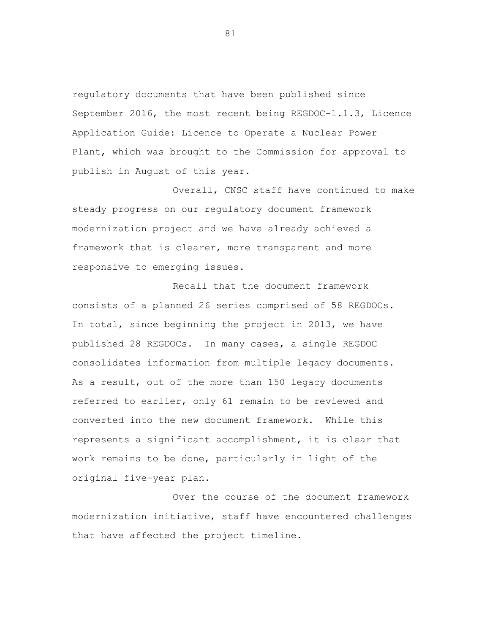regulatory documents that have been published since September 2016, the most recent being REGDOC-1.1.3, Licence Application Guide: Licence to Operate a Nuclear Power Plant, which was brought to the Commission for approval to publish in August of this year.

Overall, CNSC staff have continued to make steady progress on our regulatory document framework modernization project and we have already achieved a framework that is clearer, more transparent and more responsive to emerging issues.

Recall that the document framework consists of a planned 26 series comprised of 58 REGDOCs. In total, since beginning the project in 2013, we have published 28 REGDOCs. In many cases, a single REGDOC consolidates information from multiple legacy documents. As a result, out of the more than 150 legacy documents referred to earlier, only 61 remain to be reviewed and converted into the new document framework. While this represents a significant accomplishment, it is clear that work remains to be done, particularly in light of the original five-year plan.

Over the course of the document framework modernization initiative, staff have encountered challenges that have affected the project timeline.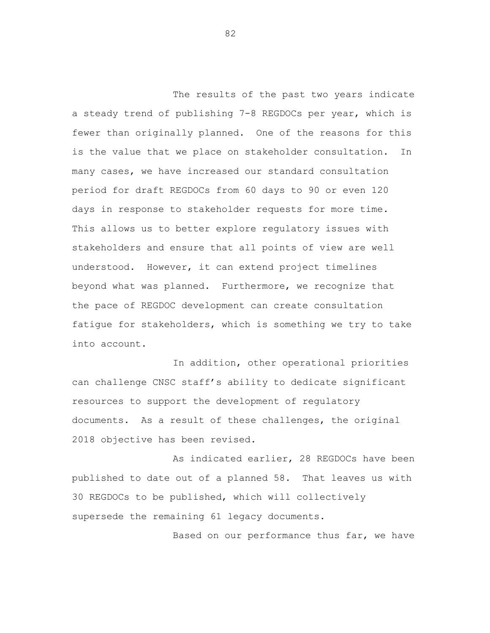The results of the past two years indicate a steady trend of publishing 7-8 REGDOCs per year, which is fewer than originally planned. One of the reasons for this is the value that we place on stakeholder consultation. In many cases, we have increased our standard consultation period for draft REGDOCs from 60 days to 90 or even 120 days in response to stakeholder requests for more time. This allows us to better explore regulatory issues with stakeholders and ensure that all points of view are well understood. However, it can extend project timelines beyond what was planned. Furthermore, we recognize that the pace of REGDOC development can create consultation fatigue for stakeholders, which is something we try to take into account.

In addition, other operational priorities can challenge CNSC staff's ability to dedicate significant resources to support the development of regulatory documents. As a result of these challenges, the original 2018 objective has been revised.

As indicated earlier, 28 REGDOCs have been published to date out of a planned 58. That leaves us with 30 REGDOCs to be published, which will collectively supersede the remaining 61 legacy documents.

Based on our performance thus far, we have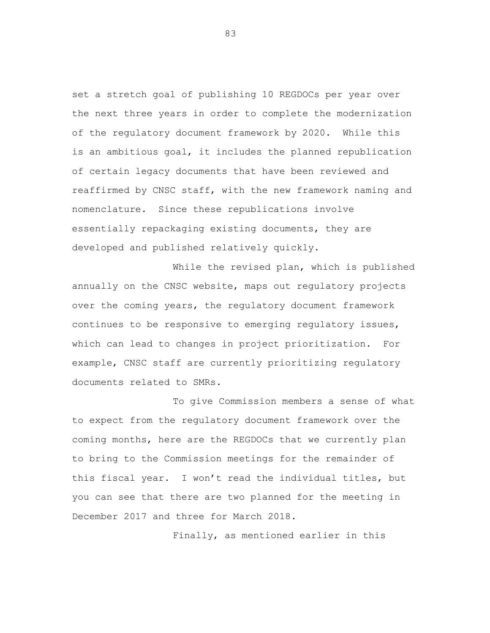set a stretch goal of publishing 10 REGDOCs per year over the next three years in order to complete the modernization of the regulatory document framework by 2020. While this is an ambitious goal, it includes the planned republication of certain legacy documents that have been reviewed and reaffirmed by CNSC staff, with the new framework naming and nomenclature. Since these republications involve essentially repackaging existing documents, they are developed and published relatively quickly.

While the revised plan, which is published annually on the CNSC website, maps out regulatory projects over the coming years, the regulatory document framework continues to be responsive to emerging regulatory issues, which can lead to changes in project prioritization. For example, CNSC staff are currently prioritizing regulatory documents related to SMRs.

To give Commission members a sense of what to expect from the regulatory document framework over the coming months, here are the REGDOCs that we currently plan to bring to the Commission meetings for the remainder of this fiscal year. I won't read the individual titles, but you can see that there are two planned for the meeting in December 2017 and three for March 2018.

Finally, as mentioned earlier in this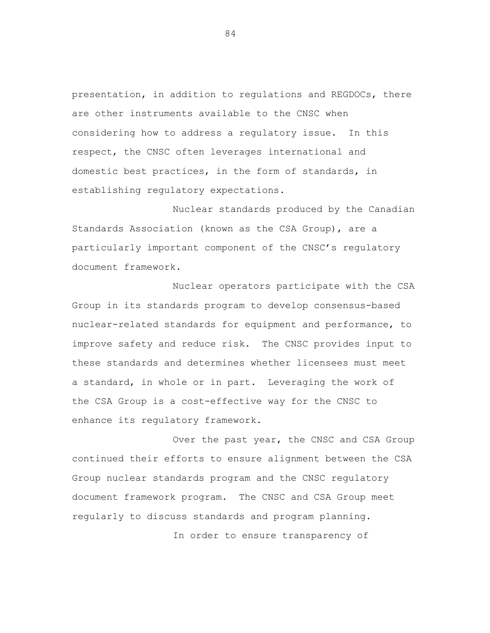presentation, in addition to regulations and REGDOCs, there are other instruments available to the CNSC when considering how to address a regulatory issue. In this respect, the CNSC often leverages international and domestic best practices, in the form of standards, in establishing regulatory expectations.

Nuclear standards produced by the Canadian Standards Association (known as the CSA Group), are a particularly important component of the CNSC's regulatory document framework.

Nuclear operators participate with the CSA Group in its standards program to develop consensus-based nuclear-related standards for equipment and performance, to improve safety and reduce risk. The CNSC provides input to these standards and determines whether licensees must meet a standard, in whole or in part. Leveraging the work of the CSA Group is a cost-effective way for the CNSC to enhance its regulatory framework.

Over the past year, the CNSC and CSA Group continued their efforts to ensure alignment between the CSA Group nuclear standards program and the CNSC regulatory document framework program. The CNSC and CSA Group meet regularly to discuss standards and program planning.

In order to ensure transparency of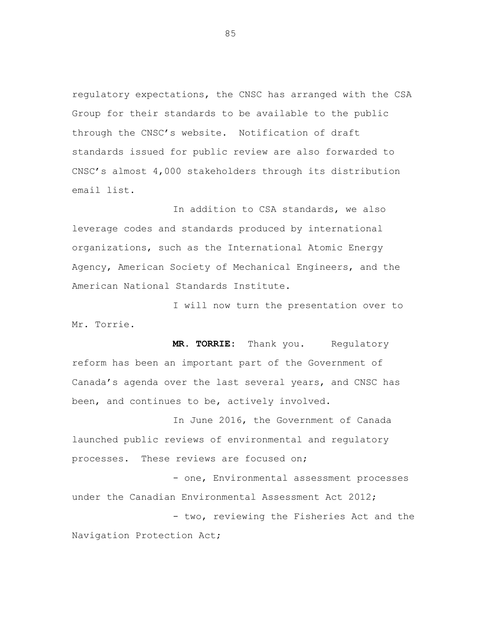regulatory expectations, the CNSC has arranged with the CSA Group for their standards to be available to the public through the CNSC's website. Notification of draft standards issued for public review are also forwarded to CNSC's almost 4,000 stakeholders through its distribution email list.

In addition to CSA standards, we also leverage codes and standards produced by international organizations, such as the International Atomic Energy Agency, American Society of Mechanical Engineers, and the American National Standards Institute.

I will now turn the presentation over to Mr. Torrie.

**MR. TORRIE:** Thank you. Regulatory reform has been an important part of the Government of Canada's agenda over the last several years, and CNSC has been, and continues to be, actively involved.

In June 2016, the Government of Canada launched public reviews of environmental and regulatory processes. These reviews are focused on;

- one, Environmental assessment processes under the Canadian Environmental Assessment Act 2012; - two, reviewing the Fisheries Act and the Navigation Protection Act;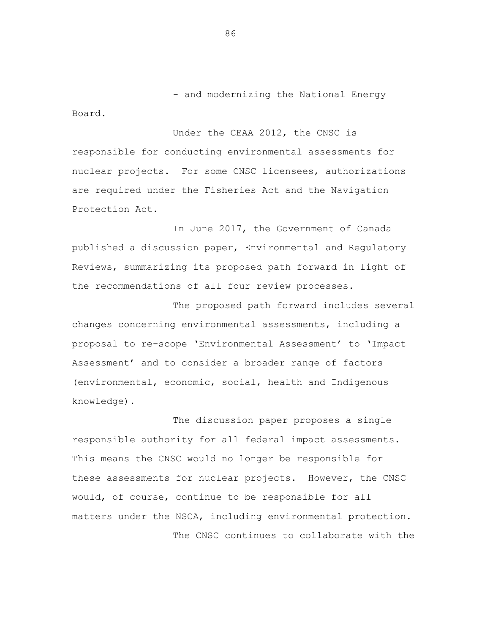- and modernizing the National Energy

Under the CEAA 2012, the CNSC is responsible for conducting environmental assessments for nuclear projects. For some CNSC licensees, authorizations are required under the Fisheries Act and the Navigation Protection Act.

In June 2017, the Government of Canada published a discussion paper, Environmental and Regulatory Reviews, summarizing its proposed path forward in light of the recommendations of all four review processes.

The proposed path forward includes several changes concerning environmental assessments, including a proposal to re-scope 'Environmental Assessment' to 'Impact Assessment' and to consider a broader range of factors (environmental, economic, social, health and Indigenous knowledge).

The discussion paper proposes a single responsible authority for all federal impact assessments. This means the CNSC would no longer be responsible for these assessments for nuclear projects. However, the CNSC would, of course, continue to be responsible for all matters under the NSCA, including environmental protection. The CNSC continues to collaborate with the

86

Board.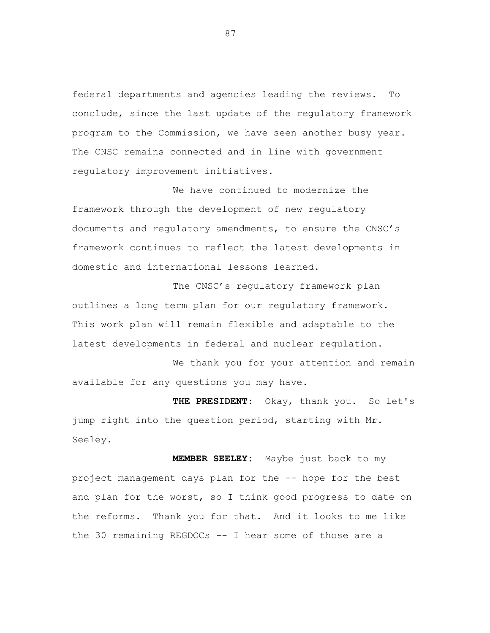federal departments and agencies leading the reviews. To conclude, since the last update of the regulatory framework program to the Commission, we have seen another busy year. The CNSC remains connected and in line with government regulatory improvement initiatives.

We have continued to modernize the framework through the development of new regulatory documents and regulatory amendments, to ensure the CNSC's framework continues to reflect the latest developments in domestic and international lessons learned.

The CNSC's regulatory framework plan outlines a long term plan for our regulatory framework. This work plan will remain flexible and adaptable to the latest developments in federal and nuclear regulation.

We thank you for your attention and remain available for any questions you may have.

**THE PRESIDENT**: Okay, thank you. So let's jump right into the question period, starting with Mr. Seeley.

 **MEMBER SEELEY:** Maybe just back to my project management days plan for the -- hope for the best and plan for the worst, so I think good progress to date on the reforms. Thank you for that. And it looks to me like the 30 remaining REGDOCs -- I hear some of those are a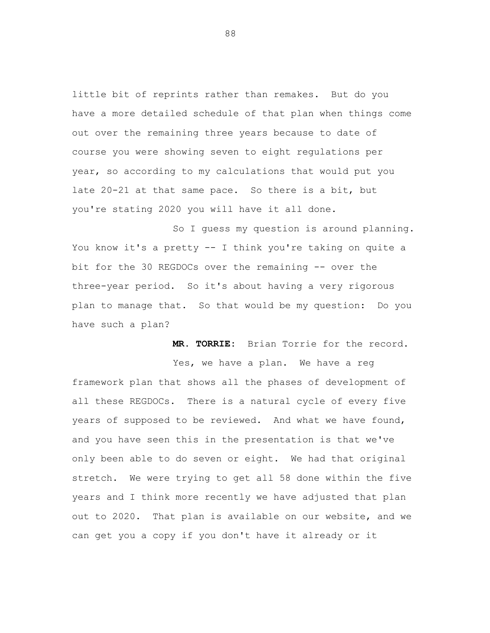little bit of reprints rather than remakes. But do you have a more detailed schedule of that plan when things come out over the remaining three years because to date of course you were showing seven to eight regulations per year, so according to my calculations that would put you late 20-21 at that same pace. So there is a bit, but you're stating 2020 you will have it all done.

So I guess my question is around planning. You know it's a pretty -- I think you're taking on quite a bit for the 30 REGDOCs over the remaining -- over the three-year period. So it's about having a very rigorous plan to manage that. So that would be my question: Do you have such a plan?

**MR. TORRIE:** Brian Torrie for the record.

Yes, we have a plan. We have a reg framework plan that shows all the phases of development of all these REGDOCs. There is a natural cycle of every five years of supposed to be reviewed. And what we have found, and you have seen this in the presentation is that we've only been able to do seven or eight. We had that original stretch. We were trying to get all 58 done within the five years and I think more recently we have adjusted that plan out to 2020. That plan is available on our website, and we can get you a copy if you don't have it already or it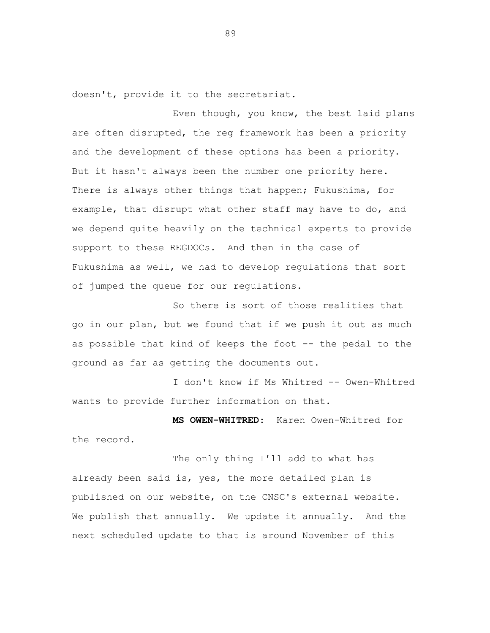doesn't, provide it to the secretariat.

Even though, you know, the best laid plans are often disrupted, the reg framework has been a priority and the development of these options has been a priority. But it hasn't always been the number one priority here. There is always other things that happen; Fukushima, for example, that disrupt what other staff may have to do, and we depend quite heavily on the technical experts to provide support to these REGDOCs. And then in the case of Fukushima as well, we had to develop regulations that sort of jumped the queue for our regulations.

So there is sort of those realities that go in our plan, but we found that if we push it out as much as possible that kind of keeps the foot -- the pedal to the ground as far as getting the documents out.

I don't know if Ms Whitred -- Owen-Whitred wants to provide further information on that.

**MS OWEN-WHITRED**: Karen Owen-Whitred for the record.

The only thing I'll add to what has already been said is, yes, the more detailed plan is published on our website, on the CNSC's external website. We publish that annually. We update it annually. And the next scheduled update to that is around November of this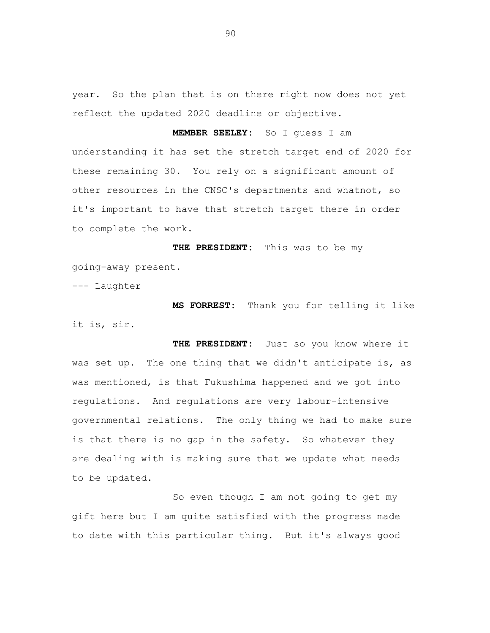year. So the plan that is on there right now does not yet reflect the updated 2020 deadline or objective.

**MEMBER SEELEY:** So I guess I am understanding it has set the stretch target end of 2020 for these remaining 30. You rely on a significant amount of other resources in the CNSC's departments and whatnot, so it's important to have that stretch target there in order to complete the work.

 **THE PRESIDENT:** This was to be my going-away present.

--- Laughter

**MS FORREST**: Thank you for telling it like it is, sir.

**THE PRESIDENT:** Just so you know where it was set up. The one thing that we didn't anticipate is, as was mentioned, is that Fukushima happened and we got into regulations. And regulations are very labour-intensive governmental relations. The only thing we had to make sure is that there is no gap in the safety. So whatever they are dealing with is making sure that we update what needs to be updated.

So even though I am not going to get my gift here but I am quite satisfied with the progress made to date with this particular thing. But it's always good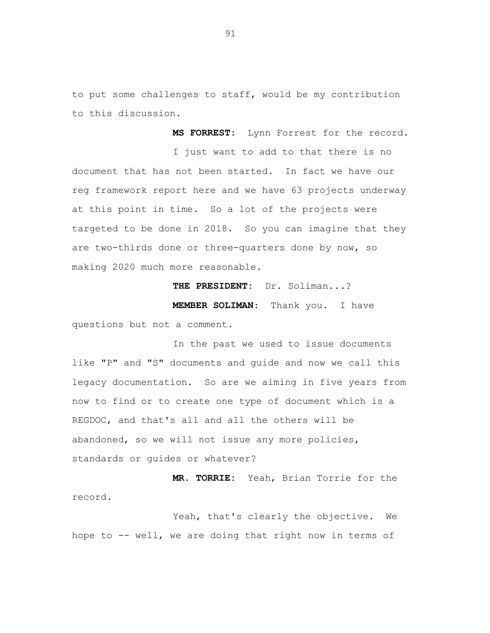to put some challenges to staff, would be my contribution to this discussion.

**MS FORREST:** Lynn Forrest for the record. I just want to add to that there is no document that has not been started. In fact we have our reg framework report here and we have 63 projects underway at this point in time. So a lot of the projects were targeted to be done in 2018. So you can imagine that they are two-thirds done or three-quarters done by now, so making 2020 much more reasonable.

**THE PRESIDENT:** Dr. Soliman...?

**MEMBER SOLIMAN**: Thank you. I have questions but not a comment.

In the past we used to issue documents like "P" and "S" documents and guide and now we call this legacy documentation. So are we aiming in five years from now to find or to create one type of document which is a REGDOC, and that's all and all the others will be abandoned, so we will not issue any more policies, standards or guides or whatever?

**MR. TORRIE:** Yeah, Brian Torrie for the record.

Yeah, that's clearly the objective. We hope to -- well, we are doing that right now in terms of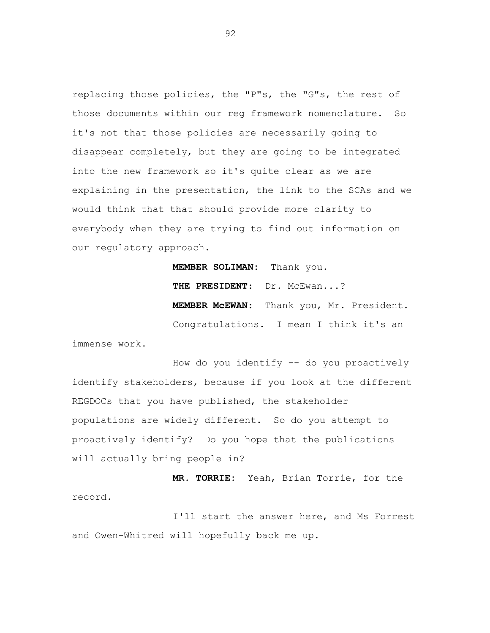replacing those policies, the "P"s, the "G"s, the rest of those documents within our reg framework nomenclature. So it's not that those policies are necessarily going to disappear completely, but they are going to be integrated into the new framework so it's quite clear as we are explaining in the presentation, the link to the SCAs and we would think that that should provide more clarity to everybody when they are trying to find out information on our regulatory approach.

> **MEMBER SOLIMAN:** Thank you. **THE PRESIDENT**: Dr. McEwan...? **MEMBER McEWAN**: Thank you, Mr. President. Congratulations. I mean I think it's an

immense work.

How do you identify -- do you proactively identify stakeholders, because if you look at the different REGDOCs that you have published, the stakeholder populations are widely different. So do you attempt to proactively identify? Do you hope that the publications will actually bring people in?

**MR. TORRIE:** Yeah, Brian Torrie, for the record.

I'll start the answer here, and Ms Forrest and Owen-Whitred will hopefully back me up.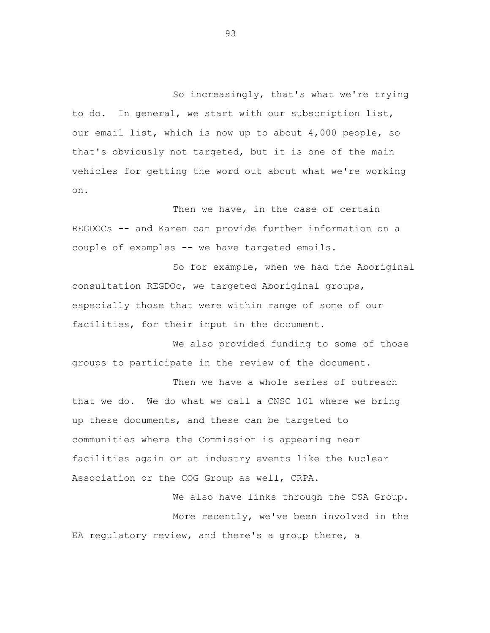So increasingly, that's what we're trying to do. In general, we start with our subscription list, our email list, which is now up to about 4,000 people, so that's obviously not targeted, but it is one of the main vehicles for getting the word out about what we're working on.

Then we have, in the case of certain REGDOCs -- and Karen can provide further information on a couple of examples -- we have targeted emails.

So for example, when we had the Aboriginal consultation REGDOc, we targeted Aboriginal groups, especially those that were within range of some of our facilities, for their input in the document.

We also provided funding to some of those groups to participate in the review of the document.

Then we have a whole series of outreach that we do. We do what we call a CNSC 101 where we bring up these documents, and these can be targeted to communities where the Commission is appearing near facilities again or at industry events like the Nuclear Association or the COG Group as well, CRPA.

We also have links through the CSA Group. More recently, we've been involved in the EA regulatory review, and there's a group there, a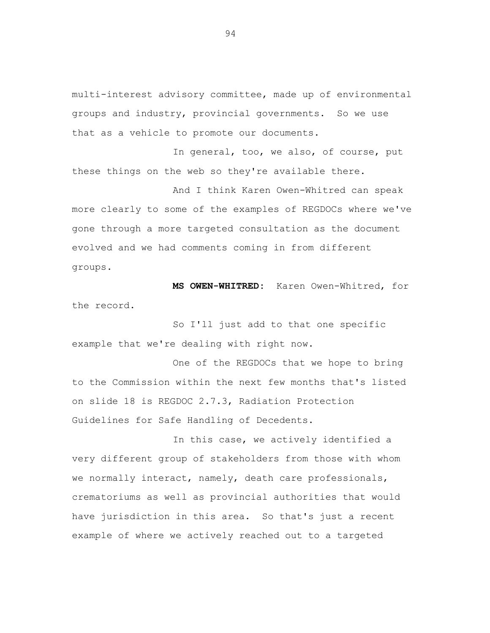multi-interest advisory committee, made up of environmental groups and industry, provincial governments. So we use that as a vehicle to promote our documents.

In general, too, we also, of course, put these things on the web so they're available there.

And I think Karen Owen-Whitred can speak more clearly to some of the examples of REGDOCs where we've gone through a more targeted consultation as the document evolved and we had comments coming in from different groups.

 **MS OWEN-WHITRED:** Karen Owen-Whitred, for the record.

So I'll just add to that one specific example that we're dealing with right now.

One of the REGDOCs that we hope to bring to the Commission within the next few months that's listed on slide 18 is REGDOC 2.7.3, Radiation Protection Guidelines for Safe Handling of Decedents.

In this case, we actively identified a very different group of stakeholders from those with whom we normally interact, namely, death care professionals, crematoriums as well as provincial authorities that would have jurisdiction in this area. So that's just a recent example of where we actively reached out to a targeted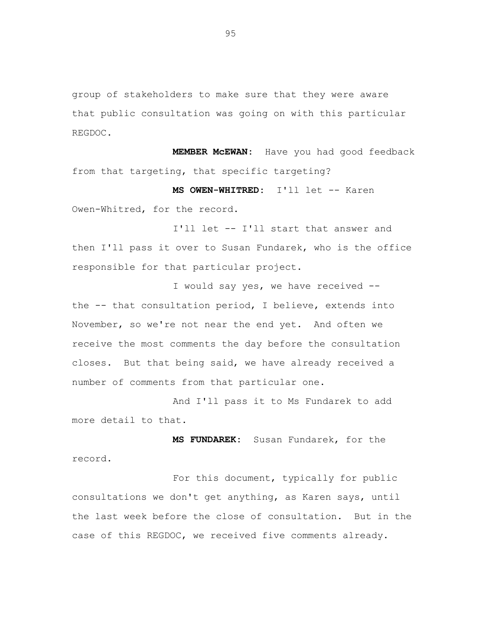group of stakeholders to make sure that they were aware that public consultation was going on with this particular REGDOC.

 **MEMBER McEWAN:** Have you had good feedback from that targeting, that specific targeting?

**MS OWEN-WHITRED:** I'll let -- Karen Owen-Whitred, for the record.

I'll let -- I'll start that answer and then I'll pass it over to Susan Fundarek, who is the office responsible for that particular project.

I would say yes, we have received - the -- that consultation period, I believe, extends into November, so we're not near the end yet. And often we receive the most comments the day before the consultation closes. But that being said, we have already received a number of comments from that particular one.

And I'll pass it to Ms Fundarek to add more detail to that.

 **MS FUNDAREK:** Susan Fundarek, for the record.

For this document, typically for public consultations we don't get anything, as Karen says, until the last week before the close of consultation. But in the case of this REGDOC, we received five comments already.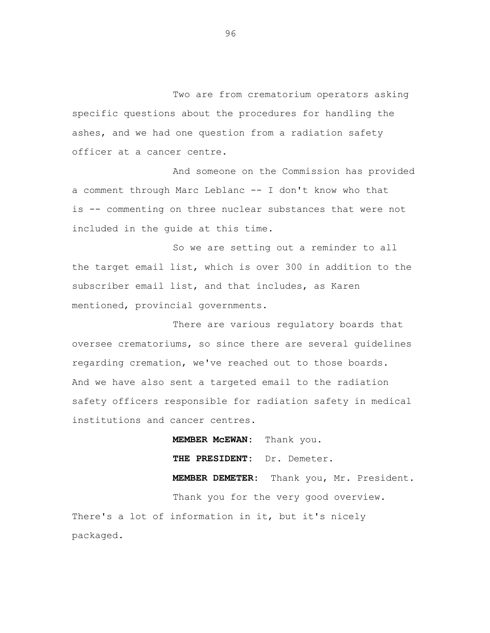Two are from crematorium operators asking specific questions about the procedures for handling the ashes, and we had one question from a radiation safety officer at a cancer centre.

And someone on the Commission has provided a comment through Marc Leblanc -- I don't know who that is -- commenting on three nuclear substances that were not included in the guide at this time.

So we are setting out a reminder to all the target email list, which is over 300 in addition to the subscriber email list, and that includes, as Karen mentioned, provincial governments.

There are various regulatory boards that oversee crematoriums, so since there are several guidelines regarding cremation, we've reached out to those boards. And we have also sent a targeted email to the radiation safety officers responsible for radiation safety in medical institutions and cancer centres.

**MEMBER McEWAN:** Thank you.  **THE PRESIDENT:** Dr. Demeter.  **MEMBER DEMETER:** Thank you, Mr. President. Thank you for the very good overview. There's a lot of information in it, but it's nicely packaged.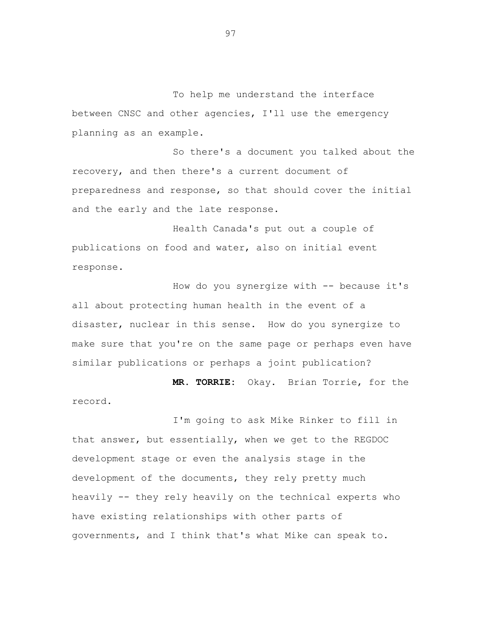To help me understand the interface between CNSC and other agencies, I'll use the emergency planning as an example.

So there's a document you talked about the recovery, and then there's a current document of preparedness and response, so that should cover the initial and the early and the late response.

Health Canada's put out a couple of publications on food and water, also on initial event response.

How do you synergize with -- because it's all about protecting human health in the event of a disaster, nuclear in this sense. How do you synergize to make sure that you're on the same page or perhaps even have similar publications or perhaps a joint publication?

**MR. TORRIE:** Okay. Brian Torrie, for the record.

I'm going to ask Mike Rinker to fill in that answer, but essentially, when we get to the REGDOC development stage or even the analysis stage in the development of the documents, they rely pretty much heavily -- they rely heavily on the technical experts who have existing relationships with other parts of governments, and I think that's what Mike can speak to.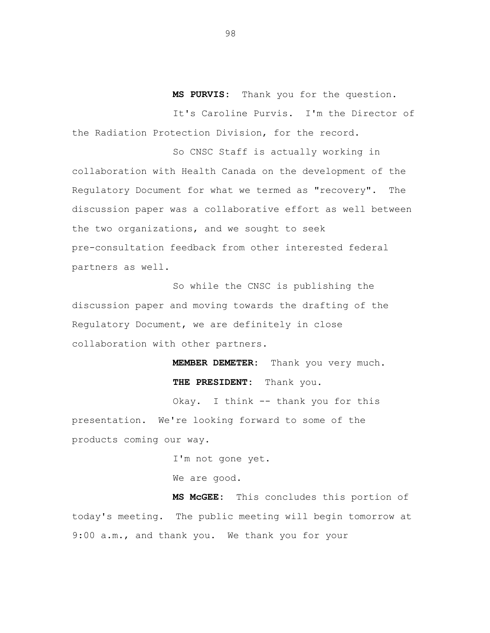**MS PURVIS:** Thank you for the question.

It's Caroline Purvis. I'm the Director of the Radiation Protection Division, for the record.

So CNSC Staff is actually working in collaboration with Health Canada on the development of the Regulatory Document for what we termed as "recovery". The discussion paper was a collaborative effort as well between the two organizations, and we sought to seek pre-consultation feedback from other interested federal partners as well.

So while the CNSC is publishing the discussion paper and moving towards the drafting of the Regulatory Document, we are definitely in close collaboration with other partners.

> **MEMBER DEMETER:** Thank you very much.  **THE PRESIDENT:** Thank you.

Okay. I think -- thank you for this presentation. We're looking forward to some of the products coming our way.

I'm not gone yet.

We are good.

 **MS McGEE:** This concludes this portion of today's meeting. The public meeting will begin tomorrow at 9:00 a.m., and thank you. We thank you for your